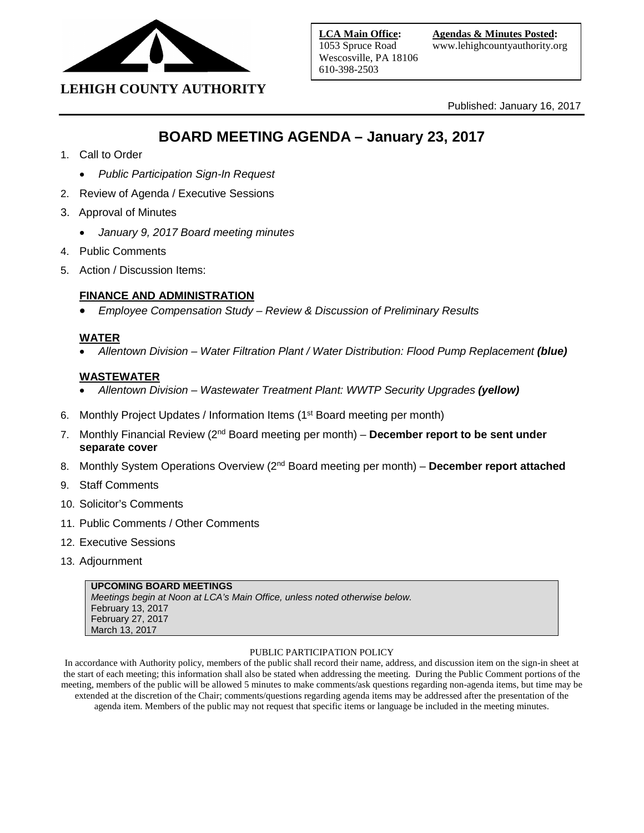

# **LEHIGH COUNTY AUTHORITY**

Published: January 16, 2017

# **BOARD MEETING AGENDA – January 23, 2017**

- 1. Call to Order
	- *Public Participation Sign-In Request*
- 2. Review of Agenda / Executive Sessions
- 3. Approval of Minutes
	- *January 9, 2017 Board meeting minutes*
- 4. Public Comments
- 5. Action / Discussion Items:

### **FINANCE AND ADMINISTRATION**

• *Employee Compensation Study – Review & Discussion of Preliminary Results*

### **WATER**

• *Allentown Division – Water Filtration Plant / Water Distribution: Flood Pump Replacement (blue)*

### **WASTEWATER**

- *Allentown Division – Wastewater Treatment Plant: WWTP Security Upgrades (yellow)*
- 6. Monthly Project Updates / Information Items (1<sup>st</sup> Board meeting per month)
- 7. Monthly Financial Review (2nd Board meeting per month) **December report to be sent under separate cover**
- 8. Monthly System Operations Overview (2<sup>nd</sup> Board meeting per month) December report attached
- 9. Staff Comments
- 10. Solicitor's Comments
- 11. Public Comments / Other Comments
- 12. Executive Sessions
- 13. Adjournment

### **UPCOMING BOARD MEETINGS**

*Meetings begin at Noon at LCA's Main Office, unless noted otherwise below.* February 13, 2017 February 27, 2017 March 13, 2017

### PUBLIC PARTICIPATION POLICY

In accordance with Authority policy, members of the public shall record their name, address, and discussion item on the sign-in sheet at the start of each meeting; this information shall also be stated when addressing the meeting. During the Public Comment portions of the meeting, members of the public will be allowed 5 minutes to make comments/ask questions regarding non-agenda items, but time may be extended at the discretion of the Chair; comments/questions regarding agenda items may be addressed after the presentation of the agenda item. Members of the public may not request that specific items or language be included in the meeting minutes.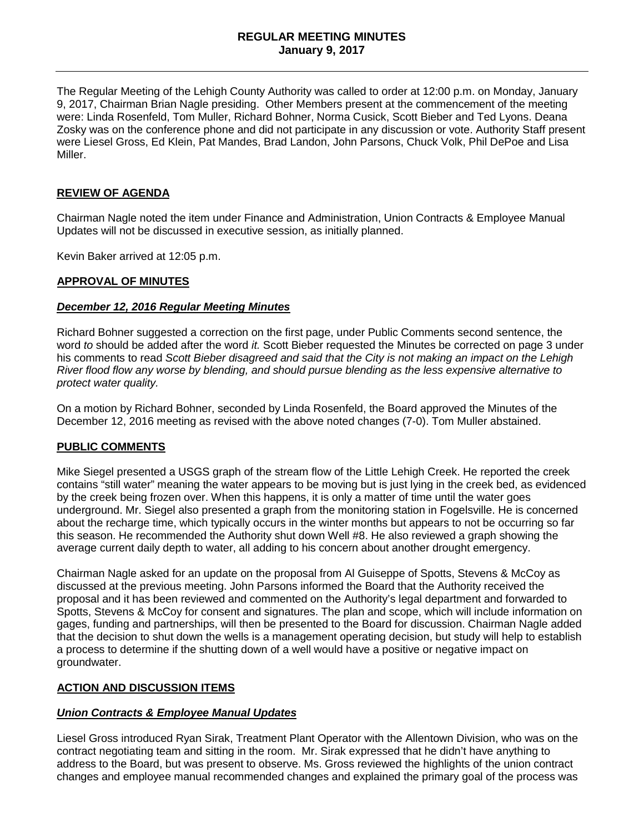### **REGULAR MEETING MINUTES January 9, 2017**

The Regular Meeting of the Lehigh County Authority was called to order at 12:00 p.m. on Monday, January 9, 2017, Chairman Brian Nagle presiding. Other Members present at the commencement of the meeting were: Linda Rosenfeld, Tom Muller, Richard Bohner, Norma Cusick, Scott Bieber and Ted Lyons. Deana Zosky was on the conference phone and did not participate in any discussion or vote. Authority Staff present were Liesel Gross, Ed Klein, Pat Mandes, Brad Landon, John Parsons, Chuck Volk, Phil DePoe and Lisa Miller.

### **REVIEW OF AGENDA**

Chairman Nagle noted the item under Finance and Administration, Union Contracts & Employee Manual Updates will not be discussed in executive session, as initially planned.

Kevin Baker arrived at 12:05 p.m.

### **APPROVAL OF MINUTES**

### *December 12, 2016 Regular Meeting Minutes*

Richard Bohner suggested a correction on the first page, under Public Comments second sentence, the word *to* should be added after the word *it.* Scott Bieber requested the Minutes be corrected on page 3 under his comments to read *Scott Bieber disagreed and said that the City is not making an impact on the Lehigh River flood flow any worse by blending, and should pursue blending as the less expensive alternative to protect water quality.* 

On a motion by Richard Bohner, seconded by Linda Rosenfeld, the Board approved the Minutes of the December 12, 2016 meeting as revised with the above noted changes (7-0). Tom Muller abstained.

### **PUBLIC COMMENTS**

Mike Siegel presented a USGS graph of the stream flow of the Little Lehigh Creek. He reported the creek contains "still water" meaning the water appears to be moving but is just lying in the creek bed, as evidenced by the creek being frozen over. When this happens, it is only a matter of time until the water goes underground. Mr. Siegel also presented a graph from the monitoring station in Fogelsville. He is concerned about the recharge time, which typically occurs in the winter months but appears to not be occurring so far this season. He recommended the Authority shut down Well #8. He also reviewed a graph showing the average current daily depth to water, all adding to his concern about another drought emergency.

Chairman Nagle asked for an update on the proposal from Al Guiseppe of Spotts, Stevens & McCoy as discussed at the previous meeting. John Parsons informed the Board that the Authority received the proposal and it has been reviewed and commented on the Authority's legal department and forwarded to Spotts, Stevens & McCoy for consent and signatures. The plan and scope, which will include information on gages, funding and partnerships, will then be presented to the Board for discussion. Chairman Nagle added that the decision to shut down the wells is a management operating decision, but study will help to establish a process to determine if the shutting down of a well would have a positive or negative impact on groundwater.

### **ACTION AND DISCUSSION ITEMS**

### *Union Contracts & Employee Manual Updates*

Liesel Gross introduced Ryan Sirak, Treatment Plant Operator with the Allentown Division, who was on the contract negotiating team and sitting in the room. Mr. Sirak expressed that he didn't have anything to address to the Board, but was present to observe. Ms. Gross reviewed the highlights of the union contract changes and employee manual recommended changes and explained the primary goal of the process was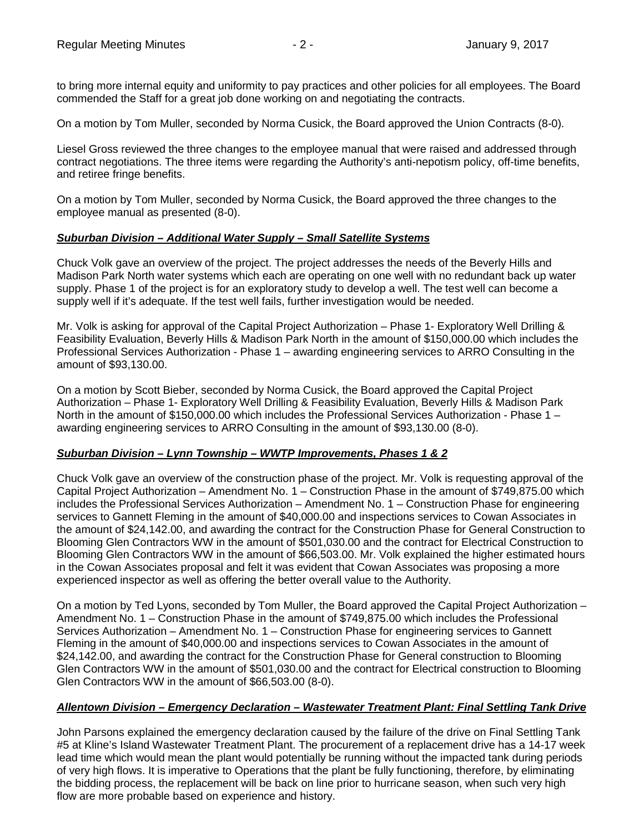to bring more internal equity and uniformity to pay practices and other policies for all employees. The Board commended the Staff for a great job done working on and negotiating the contracts.

On a motion by Tom Muller, seconded by Norma Cusick, the Board approved the Union Contracts (8-0).

Liesel Gross reviewed the three changes to the employee manual that were raised and addressed through contract negotiations. The three items were regarding the Authority's anti-nepotism policy, off-time benefits, and retiree fringe benefits.

On a motion by Tom Muller, seconded by Norma Cusick, the Board approved the three changes to the employee manual as presented (8-0).

### *Suburban Division – Additional Water Supply – Small Satellite Systems*

Chuck Volk gave an overview of the project. The project addresses the needs of the Beverly Hills and Madison Park North water systems which each are operating on one well with no redundant back up water supply. Phase 1 of the project is for an exploratory study to develop a well. The test well can become a supply well if it's adequate. If the test well fails, further investigation would be needed.

Mr. Volk is asking for approval of the Capital Project Authorization – Phase 1- Exploratory Well Drilling & Feasibility Evaluation, Beverly Hills & Madison Park North in the amount of \$150,000.00 which includes the Professional Services Authorization - Phase 1 – awarding engineering services to ARRO Consulting in the amount of \$93,130.00.

On a motion by Scott Bieber, seconded by Norma Cusick, the Board approved the Capital Project Authorization – Phase 1- Exploratory Well Drilling & Feasibility Evaluation, Beverly Hills & Madison Park North in the amount of \$150,000.00 which includes the Professional Services Authorization - Phase 1 – awarding engineering services to ARRO Consulting in the amount of \$93,130.00 (8-0).

### *Suburban Division – Lynn Township – WWTP Improvements, Phases 1 & 2*

Chuck Volk gave an overview of the construction phase of the project. Mr. Volk is requesting approval of the Capital Project Authorization – Amendment No. 1 – Construction Phase in the amount of \$749,875.00 which includes the Professional Services Authorization – Amendment No. 1 – Construction Phase for engineering services to Gannett Fleming in the amount of \$40,000.00 and inspections services to Cowan Associates in the amount of \$24,142.00, and awarding the contract for the Construction Phase for General Construction to Blooming Glen Contractors WW in the amount of \$501,030.00 and the contract for Electrical Construction to Blooming Glen Contractors WW in the amount of \$66,503.00. Mr. Volk explained the higher estimated hours in the Cowan Associates proposal and felt it was evident that Cowan Associates was proposing a more experienced inspector as well as offering the better overall value to the Authority.

On a motion by Ted Lyons, seconded by Tom Muller, the Board approved the Capital Project Authorization – Amendment No. 1 – Construction Phase in the amount of \$749,875.00 which includes the Professional Services Authorization – Amendment No. 1 – Construction Phase for engineering services to Gannett Fleming in the amount of \$40,000.00 and inspections services to Cowan Associates in the amount of \$24,142.00, and awarding the contract for the Construction Phase for General construction to Blooming Glen Contractors WW in the amount of \$501,030.00 and the contract for Electrical construction to Blooming Glen Contractors WW in the amount of \$66,503.00 (8-0).

### *Allentown Division – Emergency Declaration – Wastewater Treatment Plant: Final Settling Tank Drive*

John Parsons explained the emergency declaration caused by the failure of the drive on Final Settling Tank #5 at Kline's Island Wastewater Treatment Plant. The procurement of a replacement drive has a 14-17 week lead time which would mean the plant would potentially be running without the impacted tank during periods of very high flows. It is imperative to Operations that the plant be fully functioning, therefore, by eliminating the bidding process, the replacement will be back on line prior to hurricane season, when such very high flow are more probable based on experience and history.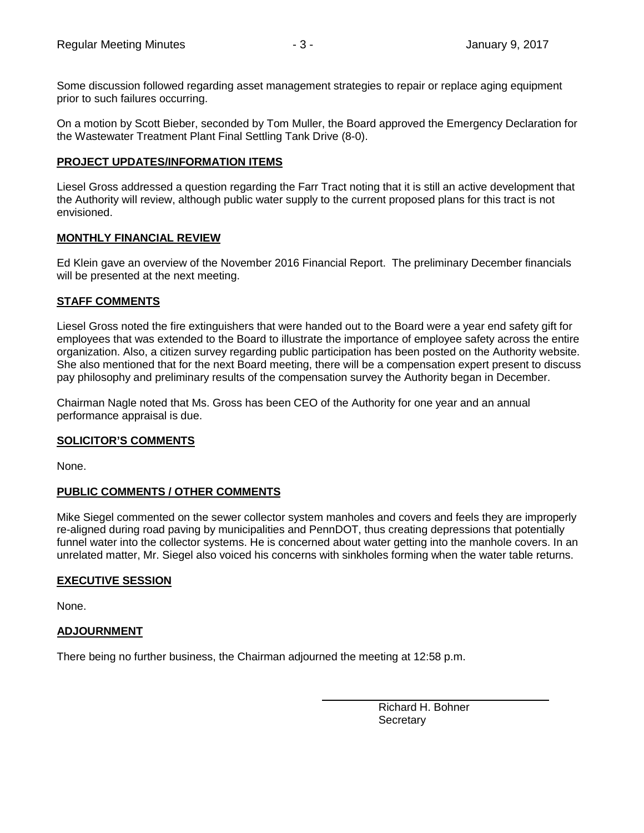Some discussion followed regarding asset management strategies to repair or replace aging equipment prior to such failures occurring.

On a motion by Scott Bieber, seconded by Tom Muller, the Board approved the Emergency Declaration for the Wastewater Treatment Plant Final Settling Tank Drive (8-0).

### **PROJECT UPDATES/INFORMATION ITEMS**

Liesel Gross addressed a question regarding the Farr Tract noting that it is still an active development that the Authority will review, although public water supply to the current proposed plans for this tract is not envisioned.

### **MONTHLY FINANCIAL REVIEW**

Ed Klein gave an overview of the November 2016 Financial Report. The preliminary December financials will be presented at the next meeting.

### **STAFF COMMENTS**

Liesel Gross noted the fire extinguishers that were handed out to the Board were a year end safety gift for employees that was extended to the Board to illustrate the importance of employee safety across the entire organization. Also, a citizen survey regarding public participation has been posted on the Authority website. She also mentioned that for the next Board meeting, there will be a compensation expert present to discuss pay philosophy and preliminary results of the compensation survey the Authority began in December.

Chairman Nagle noted that Ms. Gross has been CEO of the Authority for one year and an annual performance appraisal is due.

### **SOLICITOR'S COMMENTS**

None.

### **PUBLIC COMMENTS / OTHER COMMENTS**

Mike Siegel commented on the sewer collector system manholes and covers and feels they are improperly re-aligned during road paving by municipalities and PennDOT, thus creating depressions that potentially funnel water into the collector systems. He is concerned about water getting into the manhole covers. In an unrelated matter, Mr. Siegel also voiced his concerns with sinkholes forming when the water table returns.

### **EXECUTIVE SESSION**

None.

### **ADJOURNMENT**

There being no further business, the Chairman adjourned the meeting at 12:58 p.m.

Richard H. Bohner **Secretary**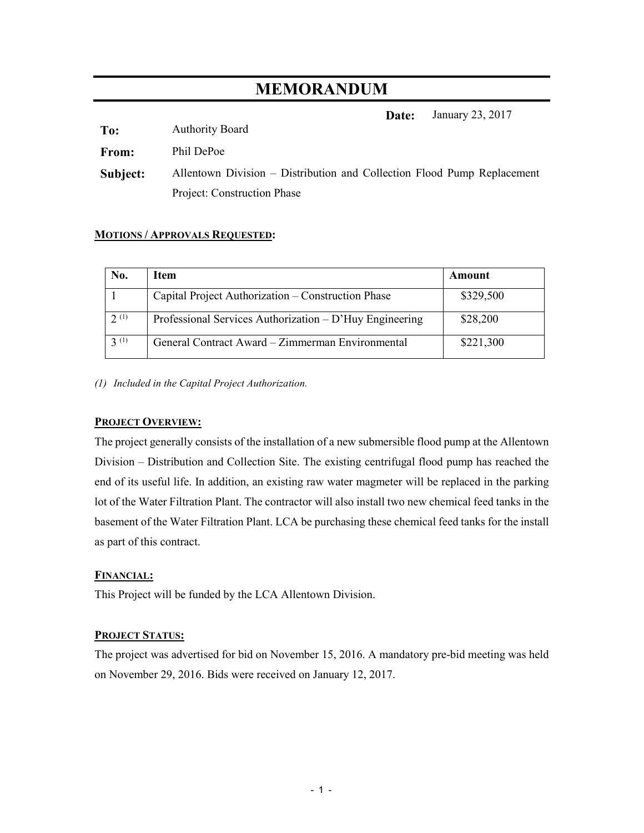# **MEMORANDUM**

**Date:** January 23, 2017

**To:** Authority Board

**From:** Phil DePoe

**Subject:** Allentown Division – Distribution and Collection Flood Pump Replacement Project: Construction Phase

### **MOTIONS / APPROVALS REQUESTED:**

| No.  | Item                                                    | Amount    |  |  |
|------|---------------------------------------------------------|-----------|--|--|
|      | Capital Project Authorization – Construction Phase      | \$329,500 |  |  |
| 2(1) | Professional Services Authorization – D'Huy Engineering | \$28,200  |  |  |
| 3(1) | General Contract Award - Zimmerman Environmental        | \$221,300 |  |  |

*(1) Included in the Capital Project Authorization.* 

### **PROJECT OVERVIEW:**

The project generally consists of the installation of a new submersible flood pump at the Allentown Division – Distribution and Collection Site. The existing centrifugal flood pump has reached the end of its useful life. In addition, an existing raw water magmeter will be replaced in the parking lot of the Water Filtration Plant. The contractor will also install two new chemical feed tanks in the basement of the Water Filtration Plant. LCA be purchasing these chemical feed tanks for the install as part of this contract.

### **FINANCIAL:**

This Project will be funded by the LCA Allentown Division.

### **PROJECT STATUS:**

The project was advertised for bid on November 15, 2016. A mandatory pre-bid meeting was held on November 29, 2016. Bids were received on January 12, 2017.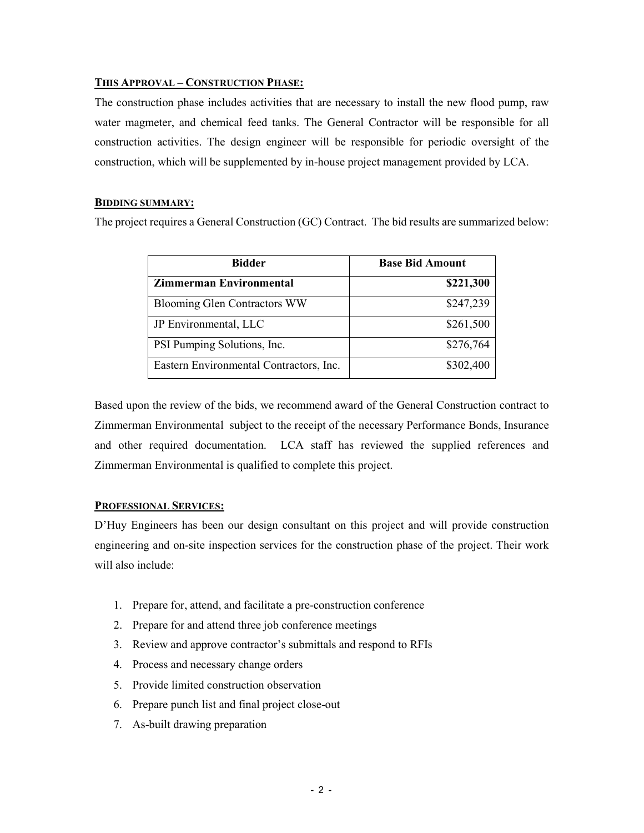### **THIS APPROVAL – CONSTRUCTION PHASE:**

The construction phase includes activities that are necessary to install the new flood pump, raw water magmeter, and chemical feed tanks. The General Contractor will be responsible for all construction activities. The design engineer will be responsible for periodic oversight of the construction, which will be supplemented by in-house project management provided by LCA.

### **BIDDING SUMMARY:**

The project requires a General Construction (GC) Contract. The bid results are summarized below:

| <b>Bidder</b>                           | <b>Base Bid Amount</b> |  |  |  |
|-----------------------------------------|------------------------|--|--|--|
| <b>Zimmerman Environmental</b>          | \$221,300              |  |  |  |
| <b>Blooming Glen Contractors WW</b>     | \$247,239              |  |  |  |
| JP Environmental, LLC                   | \$261,500              |  |  |  |
| PSI Pumping Solutions, Inc.             | \$276,764              |  |  |  |
| Eastern Environmental Contractors, Inc. | \$302,400              |  |  |  |

Based upon the review of the bids, we recommend award of the General Construction contract to Zimmerman Environmental subject to the receipt of the necessary Performance Bonds, Insurance and other required documentation. LCA staff has reviewed the supplied references and Zimmerman Environmental is qualified to complete this project.

### **PROFESSIONAL SERVICES:**

D'Huy Engineers has been our design consultant on this project and will provide construction engineering and on-site inspection services for the construction phase of the project. Their work will also include:

- 1. Prepare for, attend, and facilitate a pre-construction conference
- 2. Prepare for and attend three job conference meetings
- 3. Review and approve contractor's submittals and respond to RFIs
- 4. Process and necessary change orders
- 5. Provide limited construction observation
- 6. Prepare punch list and final project close-out
- 7. As-built drawing preparation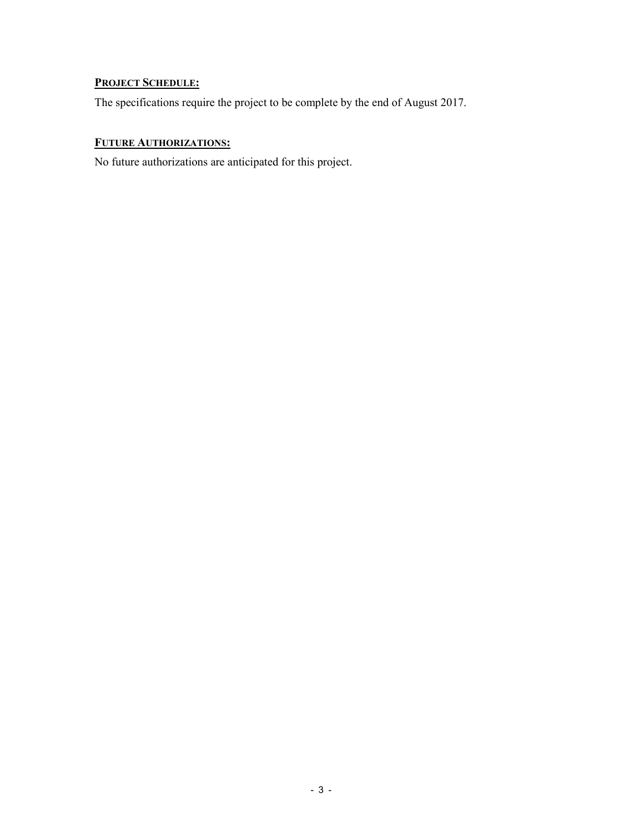## **PROJECT SCHEDULE:**

The specifications require the project to be complete by the end of August 2017.

## **FUTURE AUTHORIZATIONS:**

No future authorizations are anticipated for this project.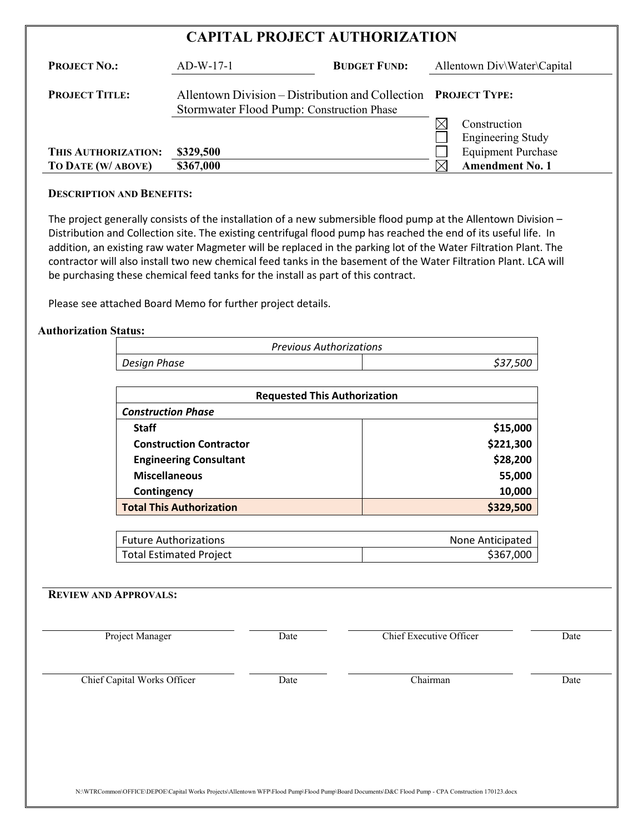# **CAPITAL PROJECT AUTHORIZATION**

| <b>PROJECT NO.:</b>   | $AD-W-17-1$                                                                                                 | <b>BUDGET FUND:</b> |    | Allentown Div\Water\Capital |
|-----------------------|-------------------------------------------------------------------------------------------------------------|---------------------|----|-----------------------------|
| <b>PROJECT TITLE:</b> | Allentown Division – Distribution and Collection PROJECT TYPE:<br>Stormwater Flood Pump: Construction Phase |                     |    |                             |
|                       |                                                                                                             |                     |    | Construction                |
|                       |                                                                                                             |                     |    | <b>Engineering Study</b>    |
| THIS AUTHORIZATION:   | \$329,500                                                                                                   |                     |    | <b>Equipment Purchase</b>   |
| TO DATE (W/ ABOVE)    | \$367,000                                                                                                   |                     | IX | <b>Amendment No. 1</b>      |

### **DESCRIPTION AND BENEFITS:**

 The project generally consists of the installation of a new submersible flood pump at the Allentown Division – Distribution and Collection site. The existing centrifugal flood pump has reached the end of its useful life. In addition, an existing raw water Magmeter will be replaced in the parking lot of the Water Filtration Plant. The contractor will also install two new chemical feed tanks in the basement of the Water Filtration Plant. LCA will be purchasing these chemical feed tanks for the install as part of this contract.

Please see attached Board Memo for further project details.

### **Authorization Status:**

| <b>Previous Authorizations</b> |          |
|--------------------------------|----------|
| Design Phase                   | \$37,500 |

| <b>Requested This Authorization</b>          |           |  |  |  |
|----------------------------------------------|-----------|--|--|--|
| <b>Construction Phase</b>                    |           |  |  |  |
| <b>Staff</b>                                 | \$15,000  |  |  |  |
| <b>Construction Contractor</b>               | \$221,300 |  |  |  |
| <b>Engineering Consultant</b>                | \$28,200  |  |  |  |
| <b>Miscellaneous</b>                         | 55,000    |  |  |  |
| Contingency                                  | 10,000    |  |  |  |
| <b>Total This Authorization</b><br>\$329,500 |           |  |  |  |

| <b>Future Authorizations</b>   | None Anticipated |
|--------------------------------|------------------|
| <b>Total Estimated Project</b> | \$367,000        |

### **REVIEW AND APPROVALS:**

Project Manager Date Date Chief Executive Officer Date

Chief Capital Works Officer Date Chairman Date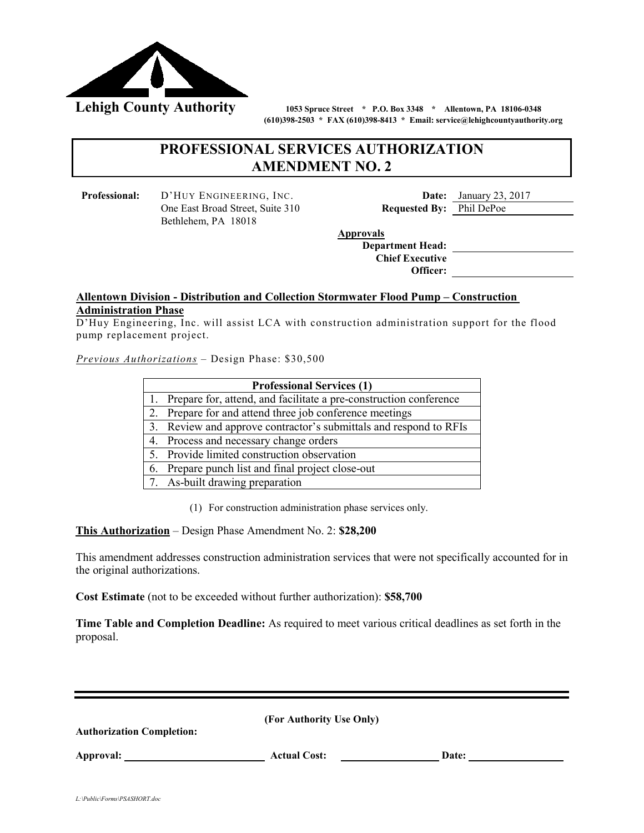

 **(610)398-2503 \* FAX (610)398-8413 \* Email: service@lehighcountyauthority.org** 

## **PROFESSIONAL SERVICES AUTHORIZATION AMENDMENT NO. 2**

 One East Broad Street, Suite 310 **Requested By:** Phil DePoe Bethlehem, PA 18018

**Professional:** D'HUY ENGINEERING, INC. **Date:** January 23, 2017

**Approvals** 

 **Department Head: Chief Executive Officer:** 

## **Description of Services (Work Scotia) Allentown Division - Distribution and Collection Stormwater Flood Pump – Construction**

D'Huy Engineering, Inc. will assist LCA with construction administration support for the flood pump replacement project.

*Previous Authorizations* – Design Phase: \$30,500

| <b>Professional Services (1)</b> |                                                                   |  |  |  |  |
|----------------------------------|-------------------------------------------------------------------|--|--|--|--|
| 1.                               | Prepare for, attend, and facilitate a pre-construction conference |  |  |  |  |
|                                  | 2. Prepare for and attend three job conference meetings           |  |  |  |  |
|                                  | 3. Review and approve contractor's submittals and respond to RFIs |  |  |  |  |
|                                  | 4. Process and necessary change orders                            |  |  |  |  |
|                                  | 5. Provide limited construction observation                       |  |  |  |  |
|                                  | 6. Prepare punch list and final project close-out                 |  |  |  |  |
|                                  | 7. As-built drawing preparation                                   |  |  |  |  |

(1) For construction administration phase services only.

**This Authorization** – Design Phase Amendment No. 2: **\$28,200** 

This amendment addresses construction administration services that were not specifically accounted for in the original authorizations.

**Cost Estimate** (not to be exceeded without further authorization): **\$58,700**

**Time Table and Completion Deadline:** As required to meet various critical deadlines as set forth in the proposal.

| <b>Authorization Completion:</b> | (For Authority Use Only) |       |
|----------------------------------|--------------------------|-------|
| Approval:                        | <b>Actual Cost:</b>      | Date: |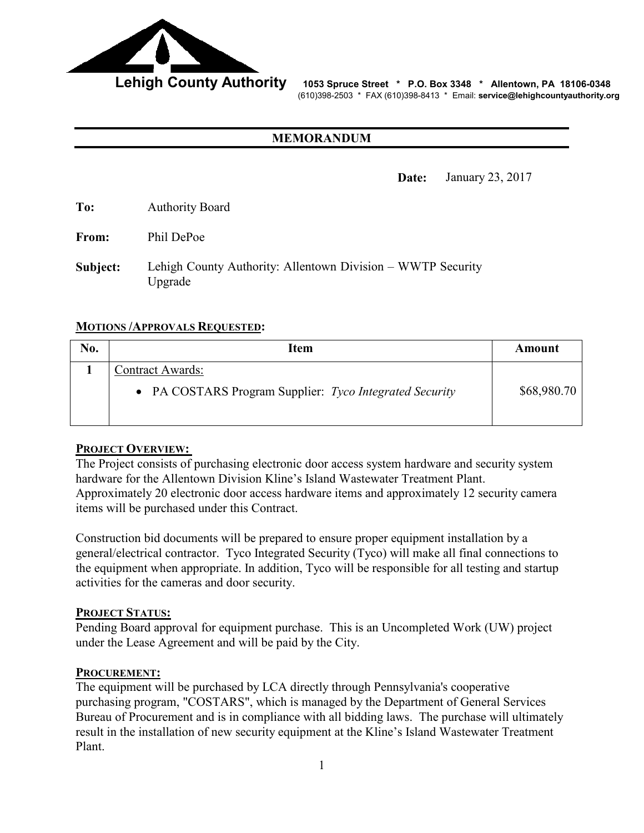

 **Lehigh County Authority 1053 Spruce Street \* P.O. Box 3348 \* Allentown, PA 18106-0348** (610)398-2503 \* FAX (610)398-8413 \* Email: **service@lehighcountyauthority.org** 

### **MEMORANDUM**

**Date:** January 23, 2017

**To:** Authority Board

**From:** Phil DePoe

**Subject:** Lehigh County Authority: Allentown Division – WWTP Security Upgrade

### **MOTIONS /APPROVALS REQUESTED:**

| No. | Item                                                                        | Amount      |
|-----|-----------------------------------------------------------------------------|-------------|
|     | Contract Awards:<br>• PA COSTARS Program Supplier: Tyco Integrated Security | \$68,980.70 |

### **PROJECT OVERVIEW:**

The Project consists of purchasing electronic door access system hardware and security system hardware for the Allentown Division Kline's Island Wastewater Treatment Plant. Approximately 20 electronic door access hardware items and approximately 12 security camera items will be purchased under this Contract.

Construction bid documents will be prepared to ensure proper equipment installation by a general/electrical contractor. Tyco Integrated Security (Tyco) will make all final connections to the equipment when appropriate. In addition, Tyco will be responsible for all testing and startup activities for the cameras and door security.

### **PROJECT STATUS:**

Pending Board approval for equipment purchase. This is an Uncompleted Work (UW) project under the Lease Agreement and will be paid by the City.

### **PROCUREMENT:**

The equipment will be purchased by LCA directly through Pennsylvania's cooperative purchasing program, "COSTARS", which is managed by the Department of General Services Bureau of Procurement and is in compliance with all bidding laws. The purchase will ultimately result in the installation of new security equipment at the Kline's Island Wastewater Treatment Plant.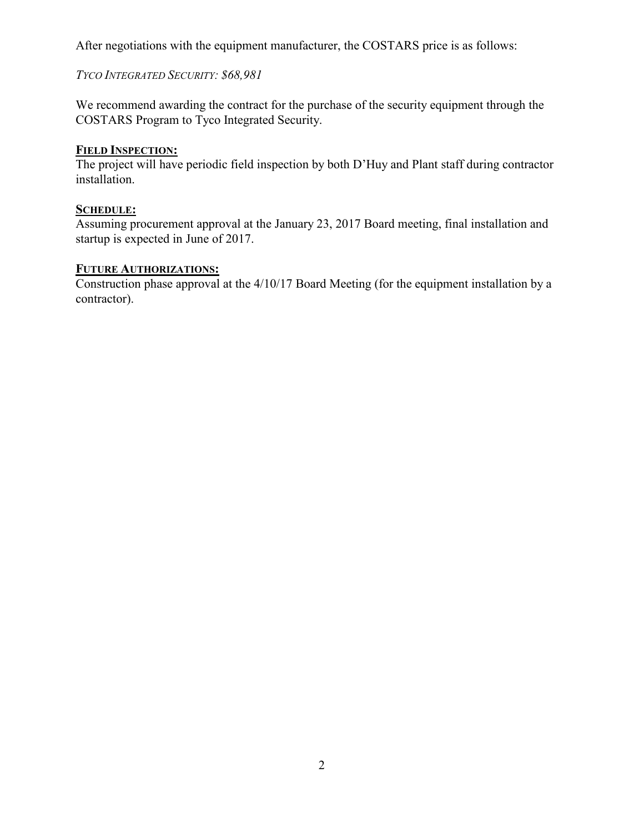After negotiations with the equipment manufacturer, the COSTARS price is as follows:

## *TYCO INTEGRATED SECURITY: \$68,981*

We recommend awarding the contract for the purchase of the security equipment through the COSTARS Program to Tyco Integrated Security.

## **FIELD INSPECTION:**

The project will have periodic field inspection by both D'Huy and Plant staff during contractor installation.

## **SCHEDULE:**

Assuming procurement approval at the January 23, 2017 Board meeting, final installation and startup is expected in June of 2017.

## **FUTURE AUTHORIZATIONS:**

Construction phase approval at the 4/10/17 Board Meeting (for the equipment installation by a contractor).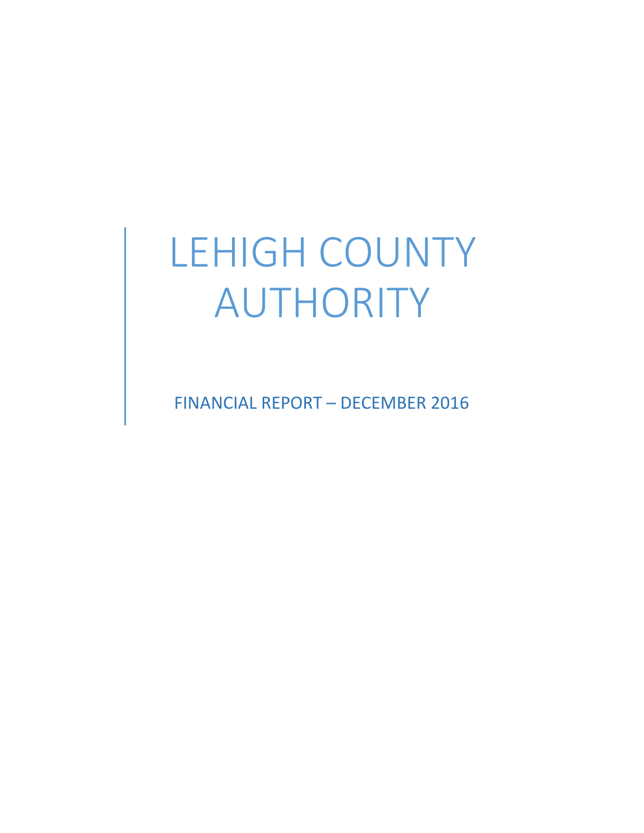# LEHIGH COUNTY AUTHORITY

FINANCIAL REPORT – DECEMBER 2016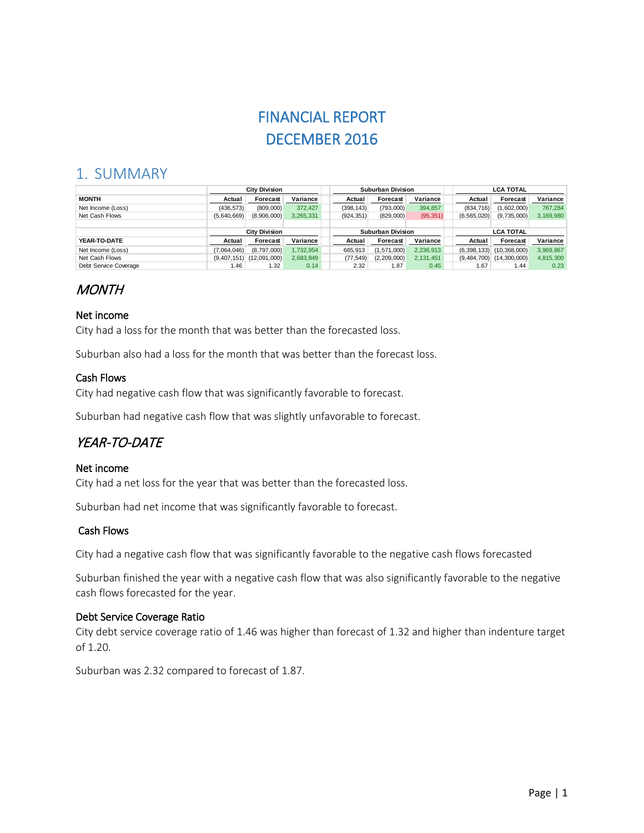# FINANCIAL REPORT DECEMBER 2016

## 1. SUMMARY

|                       | <b>City Division</b> |              |                   | <b>Suburban Division</b> |             |                  | <b>LCA TOTAL</b> |                              |           |
|-----------------------|----------------------|--------------|-------------------|--------------------------|-------------|------------------|------------------|------------------------------|-----------|
| <b>MONTH</b>          | Actual               | Forecast     | Variance          | Actual                   | Forecast    | Variance         | Actual           | <b>Forecast</b>              | Variance  |
| Net Income (Loss)     | (436, 573)           | (809,000)    | 372.427           | (398, 143)               | (793,000)   | 394,857          | (834, 716)       | (1,602,000)                  | 767.284   |
| Net Cash Flows        | (5,640,669)          | (8,906,000)  | 3,265,331         | (924, 351)               | (829,000)   | (95, 351)        | (6, 565, 020)    | (9,735,000)                  | 3,169,980 |
|                       |                      |              |                   |                          |             |                  |                  |                              |           |
|                       | <b>City Division</b> |              | Suburban Division |                          |             | <b>LCA TOTAL</b> |                  |                              |           |
| YEAR-TO-DATE          | Actual               | Forecast     | Variance          | Actual                   | Forecast    | Variance         | Actual           | <b>Forecast</b>              | Variance  |
| Net Income (Loss)     | (7.064.046)          | (8.797,000)  | 1.732.954         | 665.913                  | (1,571,000) | 2,236,913        |                  | $(6,398,133)$ $(10,368,000)$ | 3.969.867 |
| Net Cash Flows        | (9,407,151)          | (12.091.000) | 2.683.849         | (77, 549)                | (2,209,000) | 2.131.451        | (9,484,700)      | (14,300,000)                 | 4,815,300 |
| Debt Service Coverage | 1.46                 | 1.32         | 0.14              | 2.32                     | 1.87        | 0.45             | 1.67             | 1.44                         | 0.23      |

## **MONTH**

### Net income

City had a loss for the month that was better than the forecasted loss.

Suburban also had a loss for the month that was better than the forecast loss.

### Cash Flows

City had negative cash flow that was significantly favorable to forecast.

Suburban had negative cash flow that was slightly unfavorable to forecast.

# YEAR-TO-DATE

### Net income

City had a net loss for the year that was better than the forecasted loss.

Suburban had net income that was significantly favorable to forecast.

### Cash Flows

City had a negative cash flow that was significantly favorable to the negative cash flows forecasted

Suburban finished the year with a negative cash flow that was also significantly favorable to the negative cash flows forecasted for the year.

### Debt Service Coverage Ratio

City debt service coverage ratio of 1.46 was higher than forecast of 1.32 and higher than indenture target of 1.20.

Suburban was 2.32 compared to forecast of 1.87.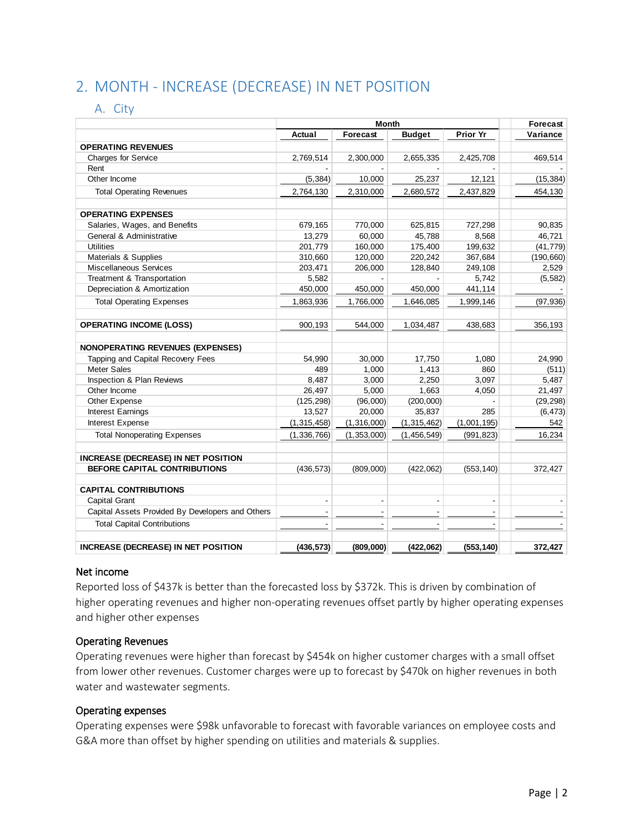# 2. MONTH - INCREASE (DECREASE) IN NET POSITION

### A. City

|                                                  |                | Forecast                 |                |                 |            |
|--------------------------------------------------|----------------|--------------------------|----------------|-----------------|------------|
|                                                  | Actual         | Forecast                 | <b>Budget</b>  | <b>Prior Yr</b> | Variance   |
| <b>OPERATING REVENUES</b>                        |                |                          |                |                 |            |
| <b>Charges for Service</b>                       | 2,769,514      | 2,300,000                | 2,655,335      | 2,425,708       | 469,514    |
| Rent                                             |                |                          |                |                 |            |
| Other Income                                     | (5, 384)       | 10,000                   | 25,237         | 12,121          | (15, 384)  |
| <b>Total Operating Revenues</b>                  | 2,764,130      | 2,310,000                | 2,680,572      | 2,437,829       | 454,130    |
| <b>OPERATING EXPENSES</b>                        |                |                          |                |                 |            |
| Salaries, Wages, and Benefits                    | 679,165        | 770,000                  | 625,815        | 727,298         | 90,835     |
| General & Administrative                         | 13,279         | 60,000                   | 45,788         | 8,568           | 46,721     |
| <b>Utilities</b>                                 | 201,779        | 160,000                  | 175,400        | 199,632         | (41, 779)  |
| Materials & Supplies                             | 310,660        | 120,000                  | 220,242        | 367,684         | (190, 660) |
| <b>Miscellaneous Services</b>                    | 203,471        | 206,000                  | 128,840        | 249,108         | 2,529      |
| Treatment & Transportation                       | 5,582          |                          |                | 5,742           | (5, 582)   |
| Depreciation & Amortization                      | 450,000        | 450,000                  | 450,000        | 441,114         |            |
| <b>Total Operating Expenses</b>                  | 1,863,936      | 1,766,000                | 1,646,085      | 1,999,146       | (97, 936)  |
| <b>OPERATING INCOME (LOSS)</b>                   | 900,193        | 544,000                  | 1,034,487      | 438,683         | 356,193    |
| <b>NONOPERATING REVENUES (EXPENSES)</b>          |                |                          |                |                 |            |
| Tapping and Capital Recovery Fees                | 54,990         | 30,000                   | 17,750         | 1,080           | 24.990     |
| <b>Meter Sales</b>                               | 489            | 1,000                    | 1,413          | 860             | (511)      |
| <b>Inspection &amp; Plan Reviews</b>             | 8,487          | 3,000                    | 2,250          | 3,097           | 5,487      |
| Other Income                                     | 26,497         | 5,000                    | 1,663          | 4,050           | 21,497     |
| Other Expense                                    | (125, 298)     | (96,000)                 | (200,000)      |                 | (29, 298)  |
| Interest Earnings                                | 13,527         | 20,000                   | 35,837         | 285             | (6, 473)   |
| <b>Interest Expense</b>                          | (1,315,458)    | (1,316,000)              | (1, 315, 462)  | (1,001,195)     | 542        |
| <b>Total Nonoperating Expenses</b>               | (1,336,766)    | (1,353,000)              | (1,456,549)    | (991, 823)      | 16,234     |
| <b>INCREASE (DECREASE) IN NET POSITION</b>       |                |                          |                |                 |            |
| <b>BEFORE CAPITAL CONTRIBUTIONS</b>              | (436, 573)     | (809,000)                | (422,062)      | (553, 140)      | 372,427    |
| <b>CAPITAL CONTRIBUTIONS</b>                     |                |                          |                |                 |            |
| Capital Grant                                    | $\blacksquare$ | $\overline{\phantom{a}}$ | $\blacksquare$ | $\blacksquare$  |            |
| Capital Assets Provided By Developers and Others |                |                          |                |                 |            |
| <b>Total Capital Contributions</b>               |                |                          |                |                 |            |
| <b>INCREASE (DECREASE) IN NET POSITION</b>       | (436, 573)     | (809,000)                | (422,062)      | (553, 140)      | 372,427    |

### Net income

Reported loss of \$437k is better than the forecasted loss by \$372k. This is driven by combination of higher operating revenues and higher non-operating revenues offset partly by higher operating expenses and higher other expenses

### Operating Revenues

Operating revenues were higher than forecast by \$454k on higher customer charges with a small offset from lower other revenues. Customer charges were up to forecast by \$470k on higher revenues in both water and wastewater segments.

### Operating expenses

Operating expenses were \$98k unfavorable to forecast with favorable variances on employee costs and G&A more than offset by higher spending on utilities and materials & supplies.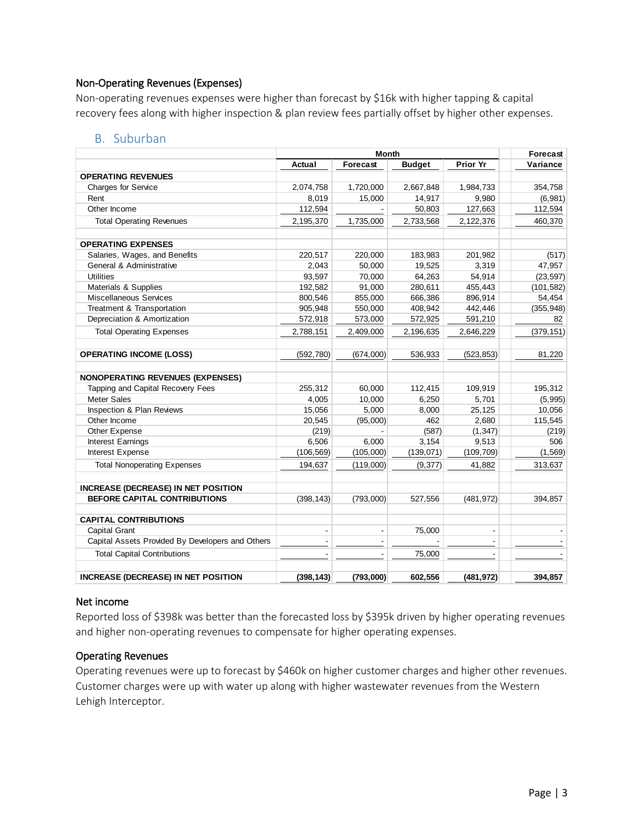### Non-Operating Revenues (Expenses)

Non-operating revenues expenses were higher than forecast by \$16k with higher tapping & capital recovery fees along with higher inspection & plan review fees partially offset by higher other expenses.

### B. Suburban

|                                                  |            | Forecast                 |               |                 |            |
|--------------------------------------------------|------------|--------------------------|---------------|-----------------|------------|
|                                                  | Actual     | <b>Forecast</b>          | <b>Budget</b> | <b>Prior Yr</b> | Variance   |
| <b>OPERATING REVENUES</b>                        |            |                          |               |                 |            |
| <b>Charges for Service</b>                       | 2,074,758  | 1,720,000                | 2,667,848     | 1,984,733       | 354,758    |
| Rent                                             | 8,019      | 15,000                   | 14,917        | 9,980           | (6,981)    |
| Other Income                                     | 112,594    |                          | 50,803        | 127,663         | 112,594    |
| <b>Total Operating Revenues</b>                  | 2,195,370  | 1,735,000                | 2,733,568     | 2,122,376       | 460,370    |
| <b>OPERATING EXPENSES</b>                        |            |                          |               |                 |            |
| Salaries, Wages, and Benefits                    | 220,517    | 220,000                  | 183,983       | 201,982         | (517)      |
| General & Administrative                         | 2,043      | 50,000                   | 19,525        | 3,319           | 47,957     |
| <b>Utilities</b>                                 | 93,597     | 70,000                   | 64,263        | 54,914          | (23, 597)  |
| Materials & Supplies                             | 192,582    | 91,000                   | 280,611       | 455,443         | (101, 582) |
| Miscellaneous Services                           | 800,546    | 855,000                  | 666,386       | 896,914         | 54,454     |
| Treatment & Transportation                       | 905,948    | 550,000                  | 408,942       | 442,446         | (355, 948) |
| Depreciation & Amortization                      | 572,918    | 573,000                  | 572,925       | 591,210         | 82         |
| <b>Total Operating Expenses</b>                  | 2,788,151  | 2,409,000                | 2,196,635     | 2,646,229       | (379, 151) |
| <b>OPERATING INCOME (LOSS)</b>                   | (592, 780) | (674,000)                | 536,933       | (523, 853)      | 81,220     |
| <b>NONOPERATING REVENUES (EXPENSES)</b>          |            |                          |               |                 |            |
| Tapping and Capital Recovery Fees                | 255,312    | 60,000                   | 112,415       | 109,919         | 195,312    |
| <b>Meter Sales</b>                               | 4,005      | 10,000                   | 6,250         | 5,701           | (5,995)    |
| Inspection & Plan Reviews                        | 15,056     | 5,000                    | 8,000         | 25,125          | 10,056     |
| Other Income                                     | 20,545     | (95,000)                 | 462           | 2,680           | 115,545    |
| Other Expense                                    | (219)      |                          | (587)         | (1, 347)        | (219)      |
| Interest Earnings                                | 6,506      | 6.000                    | 3,154         | 9,513           | 506        |
| <b>Interest Expense</b>                          | (106, 569) | (105,000)                | (139,071)     | (109, 709)      | (1, 569)   |
| <b>Total Nonoperating Expenses</b>               | 194,637    | (119,000)                | (9, 377)      | 41,882          | 313,637    |
| <b>INCREASE (DECREASE) IN NET POSITION</b>       |            |                          |               |                 |            |
| BEFORE CAPITAL CONTRIBUTIONS                     | (398, 143) | (793,000)                | 527,556       | (481, 972)      | 394,857    |
| <b>CAPITAL CONTRIBUTIONS</b>                     |            |                          |               |                 |            |
| Capital Grant                                    | ÷,         |                          | 75,000        | $\overline{a}$  |            |
| Capital Assets Provided By Developers and Others | ÷,         | $\overline{\phantom{a}}$ |               |                 |            |
| <b>Total Capital Contributions</b>               |            |                          | 75,000        |                 |            |
| <b>INCREASE (DECREASE) IN NET POSITION</b>       | (398, 143) | (793,000)                | 602,556       | (481, 972)      | 394,857    |

### Net income

Reported loss of \$398k was better than the forecasted loss by \$395k driven by higher operating revenues and higher non-operating revenues to compensate for higher operating expenses.

### Operating Revenues

Operating revenues were up to forecast by \$460k on higher customer charges and higher other revenues. Customer charges were up with water up along with higher wastewater revenues from the Western Lehigh Interceptor.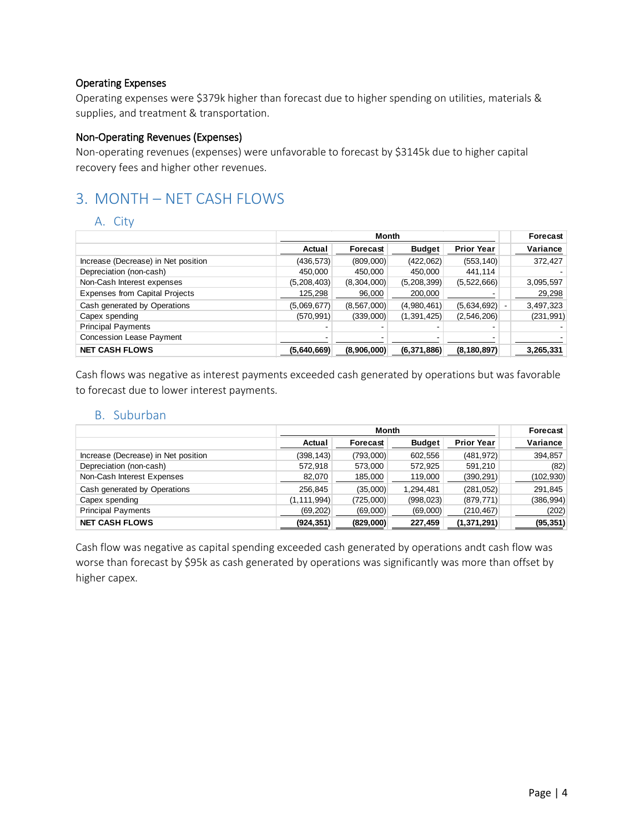### Operating Expenses

Operating expenses were \$379k higher than forecast due to higher spending on utilities, materials & supplies, and treatment & transportation.

### Non-Operating Revenues (Expenses)

Non-operating revenues (expenses) were unfavorable to forecast by \$3145k due to higher capital recovery fees and higher other revenues.

# 3. MONTH – NET CASH FLOWS

### A. City

|                                       |             | Month         |               |                   | Forecast   |
|---------------------------------------|-------------|---------------|---------------|-------------------|------------|
|                                       | Actual      | Forecast      | <b>Budget</b> | <b>Prior Year</b> | Variance   |
| Increase (Decrease) in Net position   | (436, 573)  | (809,000)     | (422,062)     | (553, 140)        | 372,427    |
| Depreciation (non-cash)               | 450,000     | 450.000       | 450.000       | 441.114           |            |
| Non-Cash Interest expenses            | (5,208,403) | (8,304,000)   | (5,208,399)   | (5,522,666)       | 3,095,597  |
| <b>Expenses from Capital Projects</b> | 125,298     | 96,000        | 200,000       |                   | 29,298     |
| Cash generated by Operations          | (5,069,677) | (8, 567, 000) | (4,980,461)   | (5,634,692)       | 3,497,323  |
| Capex spending                        | (570, 991)  | (339,000)     | (1,391,425)   | (2,546,206)       | (231, 991) |
| <b>Principal Payments</b>             |             |               |               |                   |            |
| Concession Lease Payment              |             |               |               |                   |            |
| <b>NET CASH FLOWS</b>                 | (5,640,669) | (8,906,000)   | (6,371,886)   | (8, 180, 897)     | 3,265,331  |

Cash flows was negative as interest payments exceeded cash generated by operations but was favorable to forecast due to lower interest payments.

### B. Suburban

|                                     |               | Month     |               |                   | Forecast   |
|-------------------------------------|---------------|-----------|---------------|-------------------|------------|
|                                     | Actual        | Forecast  | <b>Budget</b> | <b>Prior Year</b> | Variance   |
| Increase (Decrease) in Net position | (398, 143)    | (793,000) | 602,556       | (481, 972)        | 394,857    |
| Depreciation (non-cash)             | 572,918       | 573,000   | 572,925       | 591,210           | (82)       |
| Non-Cash Interest Expenses          | 82,070        | 185,000   | 119,000       | (390, 291)        | (102, 930) |
| Cash generated by Operations        | 256.845       | (35,000)  | 1.294.481     | (281,052)         | 291,845    |
| Capex spending                      | (1, 111, 994) | (725,000) | (998, 023)    | (879, 771)        | (386, 994) |
| <b>Principal Payments</b>           | (69, 202)     | (69,000)  | (69,000)      | (210, 467)        | (202)      |
| <b>NET CASH FLOWS</b>               | (924, 351)    | (829,000) | 227,459       | (1,371,291)       | (95, 351)  |

Cash flow was negative as capital spending exceeded cash generated by operations andt cash flow was worse than forecast by \$95k as cash generated by operations was significantly was more than offset by higher capex.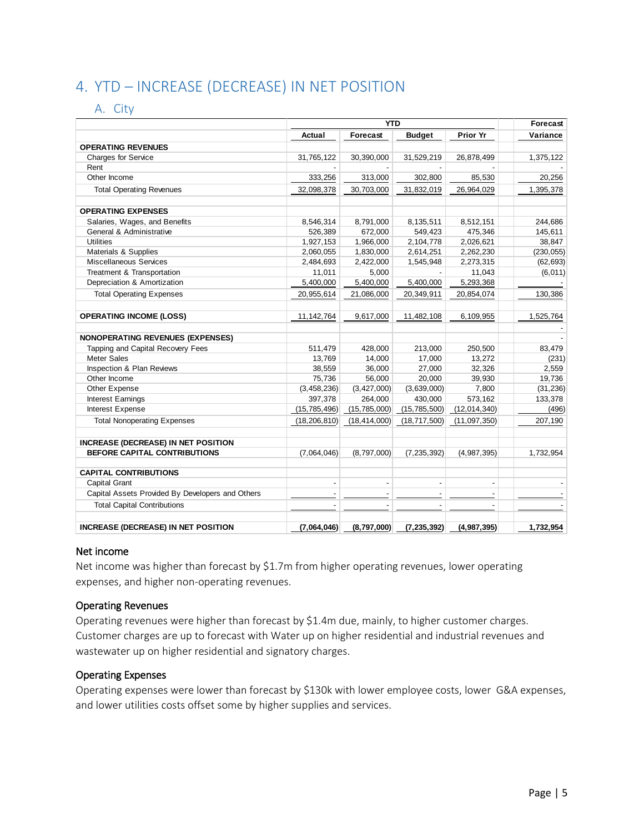# 4. YTD – INCREASE (DECREASE) IN NET POSITION

### A. City

|                                                  |                          | <b>YTD</b>               |                                 |                                 | Forecast   |
|--------------------------------------------------|--------------------------|--------------------------|---------------------------------|---------------------------------|------------|
|                                                  | Actual                   | Forecast                 | <b>Budget</b>                   | Prior Yr                        | Variance   |
| <b>OPERATING REVENUES</b>                        |                          |                          |                                 |                                 |            |
| <b>Charges for Service</b>                       | 31,765,122               | 30,390,000               | 31,529,219                      | 26,878,499                      | 1,375,122  |
| Rent                                             |                          |                          |                                 |                                 |            |
| Other Income                                     | 333,256                  | 313,000                  | 302,800                         | 85,530                          | 20,256     |
| <b>Total Operating Revenues</b>                  | 32,098,378               | 30,703,000               | 31,832,019                      | 26,964,029                      | 1,395,378  |
| <b>OPERATING EXPENSES</b>                        |                          |                          |                                 |                                 |            |
| Salaries, Wages, and Benefits                    | 8,546,314                | 8,791,000                | 8,135,511                       | 8,512,151                       | 244,686    |
| General & Administrative                         | 526,389                  | 672,000                  | 549,423                         | 475,346                         | 145,611    |
| <b>Utilities</b>                                 | 1,927,153                | 1,966,000                | 2,104,778                       | 2,026,621                       | 38,847     |
| Materials & Supplies                             | 2,060,055                | 1,830,000                | 2,614,251                       | 2,262,230                       | (230, 055) |
| Miscellaneous Services                           | 2,484,693                | 2,422,000                | 1,545,948                       | 2,273,315                       | (62, 693)  |
| Treatment & Transportation                       | 11,011                   | 5,000                    |                                 | 11,043                          | (6,011)    |
| Depreciation & Amortization                      | 5,400,000                | 5,400,000                | 5,400,000                       | 5,293,368                       |            |
| <b>Total Operating Expenses</b>                  | 20,955,614               | 21,086,000               | 20,349,911                      | 20,854,074                      | 130,386    |
| <b>OPERATING INCOME (LOSS)</b>                   | 11, 142, 764             | 9,617,000                | 11,482,108                      | 6,109,955                       | 1,525,764  |
| <b>NONOPERATING REVENUES (EXPENSES)</b>          |                          |                          |                                 |                                 |            |
| Tapping and Capital Recovery Fees                | 511,479                  | 428,000                  | 213,000                         | 250,500                         | 83,479     |
| Meter Sales                                      | 13,769                   | 14,000                   | 17,000                          | 13,272                          | (231)      |
| Inspection & Plan Reviews                        | 38,559                   | 36,000                   | 27,000                          | 32,326                          | 2,559      |
| Other Income                                     | 75,736                   | 56,000                   | 20,000                          | 39,930                          | 19,736     |
| Other Expense                                    | (3,458,236)              | (3, 427, 000)            | (3,639,000)                     | 7,800                           | (31, 236)  |
| <b>Interest Earnings</b>                         | 397,378                  | 264,000                  | 430,000                         | 573,162                         | 133,378    |
| Interest Expense                                 | (15, 785, 496)           | (15, 785, 000)           | (15, 785, 500)                  | (12,014,340)                    | (496)      |
| <b>Total Nonoperating Expenses</b>               | (18, 206, 810)           | (18, 414, 000)           | (18, 717, 500)                  | (11,097,350)                    | 207,190    |
| <b>INCREASE (DECREASE) IN NET POSITION</b>       |                          |                          |                                 |                                 |            |
| BEFORE CAPITAL CONTRIBUTIONS                     | (7,064,046)              | (8,797,000)              | (7, 235, 392)                   | (4,987,395)                     | 1,732,954  |
| <b>CAPITAL CONTRIBUTIONS</b>                     |                          |                          |                                 |                                 |            |
| Capital Grant                                    | $\overline{\phantom{a}}$ | $\overline{\phantom{a}}$ | $\centering \label{eq:reduced}$ | $\centering \label{eq:reduced}$ |            |
| Capital Assets Provided By Developers and Others |                          |                          |                                 |                                 |            |
| <b>Total Capital Contributions</b>               |                          |                          |                                 |                                 |            |
| <b>INCREASE (DECREASE) IN NET POSITION</b>       | (7,064,046)              | (8,797,000)              | (7, 235, 392)                   | (4,987,395)                     | 1,732,954  |

### Net income

Net income was higher than forecast by \$1.7m from higher operating revenues, lower operating expenses, and higher non-operating revenues.

### Operating Revenues

Operating revenues were higher than forecast by \$1.4m due, mainly, to higher customer charges. Customer charges are up to forecast with Water up on higher residential and industrial revenues and wastewater up on higher residential and signatory charges.

### Operating Expenses

Operating expenses were lower than forecast by \$130k with lower employee costs, lower G&A expenses, and lower utilities costs offset some by higher supplies and services.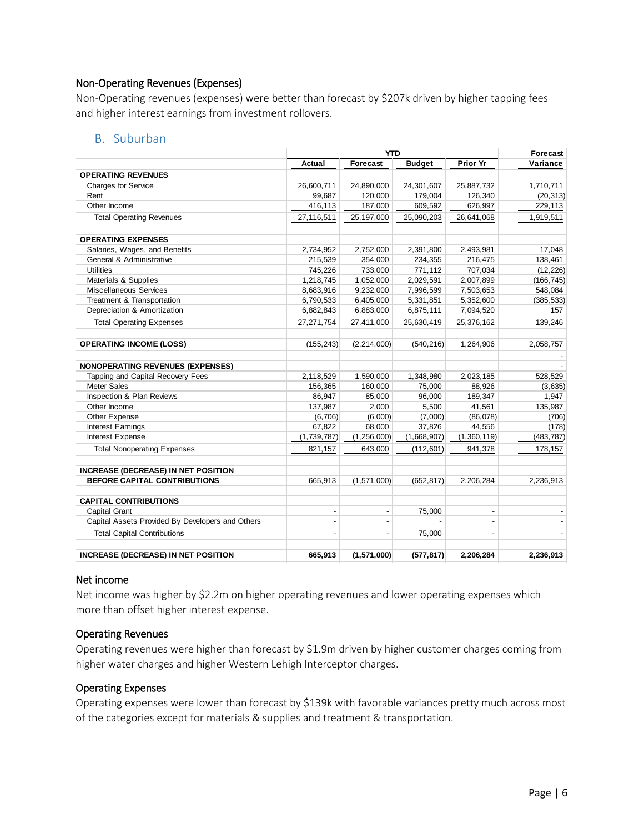### Non-Operating Revenues (Expenses)

Non-Operating revenues (expenses) were better than forecast by \$207k driven by higher tapping fees and higher interest earnings from investment rollovers.

### B. Suburban

|                                                  |             | <b>YTD</b>    |               |             | Forecast   |
|--------------------------------------------------|-------------|---------------|---------------|-------------|------------|
|                                                  | Actual      | Forecast      | <b>Budget</b> | Prior Yr    | Variance   |
| <b>OPERATING REVENUES</b>                        |             |               |               |             |            |
| <b>Charges for Service</b>                       | 26,600,711  | 24,890,000    | 24,301,607    | 25,887,732  | 1,710,711  |
| Rent                                             | 99,687      | 120,000       | 179,004       | 126,340     | (20, 313)  |
| Other Income                                     | 416,113     | 187,000       | 609,592       | 626,997     | 229,113    |
| <b>Total Operating Revenues</b>                  | 27,116,511  | 25, 197, 000  | 25,090,203    | 26,641,068  | 1,919,511  |
| <b>OPERATING EXPENSES</b>                        |             |               |               |             |            |
| Salaries, Wages, and Benefits                    | 2,734,952   | 2,752,000     | 2,391,800     | 2,493,981   | 17,048     |
| General & Administrative                         | 215,539     | 354,000       | 234,355       | 216,475     | 138,461    |
| <b>Utilities</b>                                 | 745,226     | 733,000       | 771,112       | 707,034     | (12, 226)  |
| Materials & Supplies                             | 1,218,745   | 1,052,000     | 2,029,591     | 2,007,899   | (166, 745) |
| Miscellaneous Services                           | 8,683,916   | 9,232,000     | 7,996,599     | 7,503,653   | 548,084    |
| Treatment & Transportation                       | 6,790,533   | 6,405,000     | 5,331,851     | 5,352,600   | (385, 533) |
| Depreciation & Amortization                      | 6,882,843   | 6,883,000     | 6,875,111     | 7,094,520   | 157        |
| <b>Total Operating Expenses</b>                  | 27,271,754  | 27,411,000    | 25,630,419    | 25,376,162  | 139,246    |
| <b>OPERATING INCOME (LOSS)</b>                   | (155, 243)  | (2, 214, 000) | (540, 216)    | 1,264,906   | 2,058,757  |
| <b>NONOPERATING REVENUES (EXPENSES)</b>          |             |               |               |             |            |
| Tapping and Capital Recovery Fees                | 2,118,529   | 1,590,000     | 1,348,980     | 2,023,185   | 528.529    |
| <b>Meter Sales</b>                               | 156,365     | 160,000       | 75,000        | 88,926      | (3,635)    |
| Inspection & Plan Reviews                        | 86,947      | 85,000        | 96,000        | 189,347     | 1,947      |
| Other Income                                     | 137,987     | 2,000         | 5,500         | 41,561      | 135,987    |
| Other Expense                                    | (6,706)     | (6,000)       | (7,000)       | (86,078)    | (706)      |
| <b>Interest Earnings</b>                         | 67,822      | 68,000        | 37,826        | 44,556      | (178)      |
| Interest Expense                                 | (1,739,787) | (1,256,000)   | (1,668,907)   | (1,360,119) | (483, 787) |
| <b>Total Nonoperating Expenses</b>               | 821,157     | 643,000       | (112, 601)    | 941,378     | 178,157    |
| INCREASE (DECREASE) IN NET POSITION              |             |               |               |             |            |
| BEFORE CAPITAL CONTRIBUTIONS                     | 665,913     | (1,571,000)   | (652, 817)    | 2,206,284   | 2,236,913  |
| <b>CAPITAL CONTRIBUTIONS</b>                     |             |               |               |             |            |
| Capital Grant                                    |             |               | 75,000        |             |            |
| Capital Assets Provided By Developers and Others |             |               |               |             |            |
| <b>Total Capital Contributions</b>               |             |               | 75,000        |             |            |
| <b>INCREASE (DECREASE) IN NET POSITION</b>       | 665,913     | (1,571,000)   | (577, 817)    | 2,206,284   | 2,236,913  |

### Net income

Net income was higher by \$2.2m on higher operating revenues and lower operating expenses which more than offset higher interest expense.

### Operating Revenues

Operating revenues were higher than forecast by \$1.9m driven by higher customer charges coming from higher water charges and higher Western Lehigh Interceptor charges.

### Operating Expenses

Operating expenses were lower than forecast by \$139k with favorable variances pretty much across most of the categories except for materials & supplies and treatment & transportation.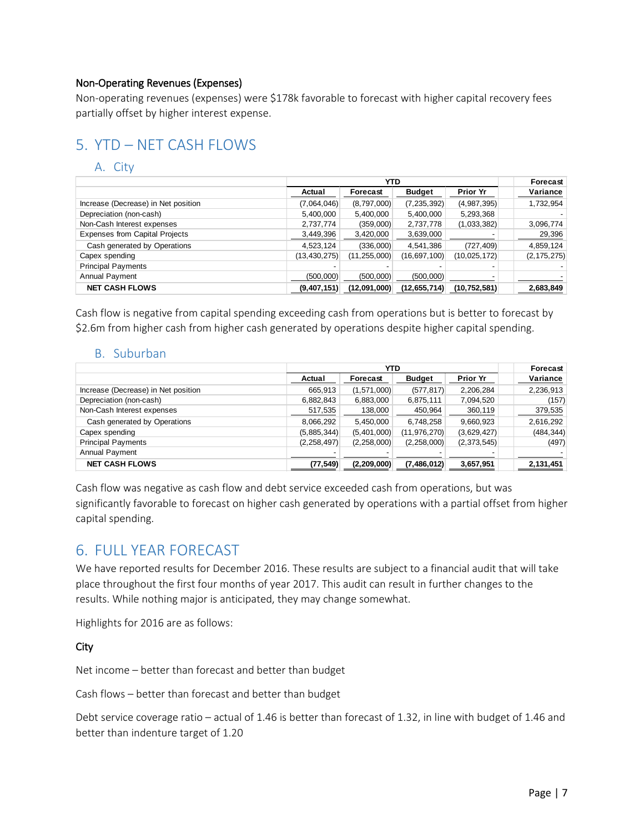### Non-Operating Revenues (Expenses)

Non-operating revenues (expenses) were \$178k favorable to forecast with higher capital recovery fees partially offset by higher interest expense.

# 5. YTD – NET CASH FLOWS

### A. City

|                                       |                | <b>YTD</b>     |                |                 | Forecast      |
|---------------------------------------|----------------|----------------|----------------|-----------------|---------------|
|                                       | Actual         | Forecast       | <b>Budget</b>  | <b>Prior Yr</b> | Variance      |
| Increase (Decrease) in Net position   | (7,064,046)    | (8,797,000)    | (7, 235, 392)  | (4,987,395)     | 1,732,954     |
| Depreciation (non-cash)               | 5,400,000      | 5,400,000      | 5,400,000      | 5,293,368       |               |
| Non-Cash Interest expenses            | 2,737,774      | (359,000)      | 2,737,778      | (1,033,382)     | 3,096,774     |
| <b>Expenses from Capital Projects</b> | 3,449,396      | 3,420,000      | 3,639,000      |                 | 29,396        |
| Cash generated by Operations          | 4,523,124      | (336,000)      | 4,541,386      | (727, 409)      | 4,859,124     |
| Capex spending                        | (13, 430, 275) | (11, 255, 000) | (16, 697, 100) | (10,025,172)    | (2, 175, 275) |
| <b>Principal Payments</b>             |                |                |                |                 |               |
| Annual Payment                        | (500,000)      | (500,000)      | (500,000)      |                 |               |
| <b>NET CASH FLOWS</b>                 | (9,407,151)    | (12,091,000)   | (12, 655, 714) | (10, 752, 581)  | 2,683,849     |

Cash flow is negative from capital spending exceeding cash from operations but is better to forecast by \$2.6m from higher cash from higher cash generated by operations despite higher capital spending.

### B. Suburban

|                                     |               | <b>YTD</b>    |                |                 | Forecast   |
|-------------------------------------|---------------|---------------|----------------|-----------------|------------|
|                                     | Actual        | Forecast      | <b>Budget</b>  | <b>Prior Yr</b> | Variance   |
| Increase (Decrease) in Net position | 665,913       | (1,571,000)   | (577, 817)     | 2,206,284       | 2,236,913  |
| Depreciation (non-cash)             | 6,882,843     | 6,883,000     | 6,875,111      | 7,094,520       | (157)      |
| Non-Cash Interest expenses          | 517,535       | 138,000       | 450,964        | 360,119         | 379,535    |
| Cash generated by Operations        | 8,066,292     | 5,450,000     | 6,748,258      | 9,660,923       | 2,616,292  |
| Capex spending                      | (5,885,344)   | (5,401,000)   | (11, 976, 270) | (3,629,427)     | (484, 344) |
| <b>Principal Payments</b>           | (2, 258, 497) | (2, 258, 000) | (2,258,000)    | (2,373,545)     | (497)      |
| Annual Payment                      |               |               |                |                 |            |
| <b>NET CASH FLOWS</b>               | (77, 549)     | (2,209,000)   | (7, 486, 012)  | 3,657,951       | 2,131,451  |

Cash flow was negative as cash flow and debt service exceeded cash from operations, but was significantly favorable to forecast on higher cash generated by operations with a partial offset from higher capital spending.

# 6. FULL YEAR FORECAST

We have reported results for December 2016. These results are subject to a financial audit that will take place throughout the first four months of year 2017. This audit can result in further changes to the results. While nothing major is anticipated, they may change somewhat.

Highlights for 2016 are as follows:

City

Net income – better than forecast and better than budget

Cash flows – better than forecast and better than budget

Debt service coverage ratio – actual of 1.46 is better than forecast of 1.32, in line with budget of 1.46 and better than indenture target of 1.20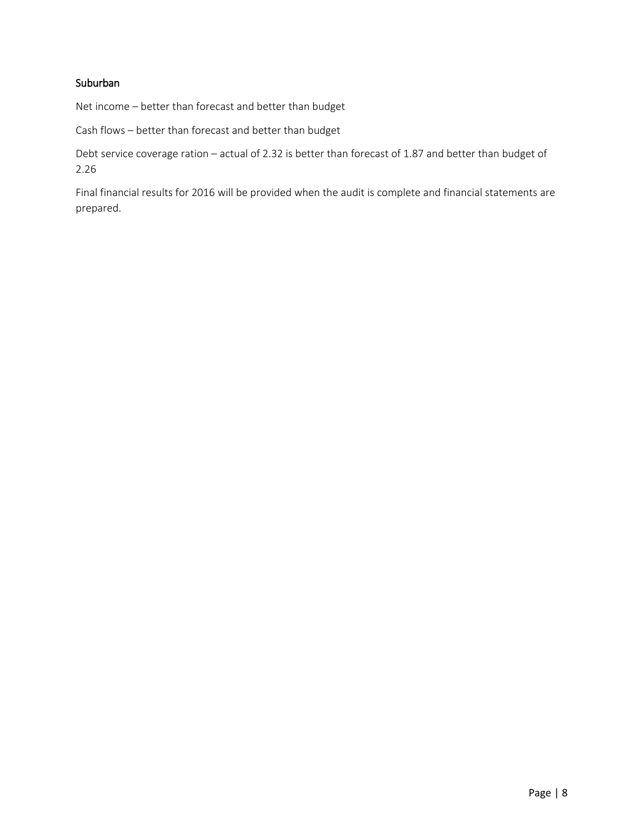### Suburban

Net income – better than forecast and better than budget

Cash flows – better than forecast and better than budget

Debt service coverage ration – actual of 2.32 is better than forecast of 1.87 and better than budget of 2.26

Final financial results for 2016 will be provided when the audit is complete and financial statements are prepared.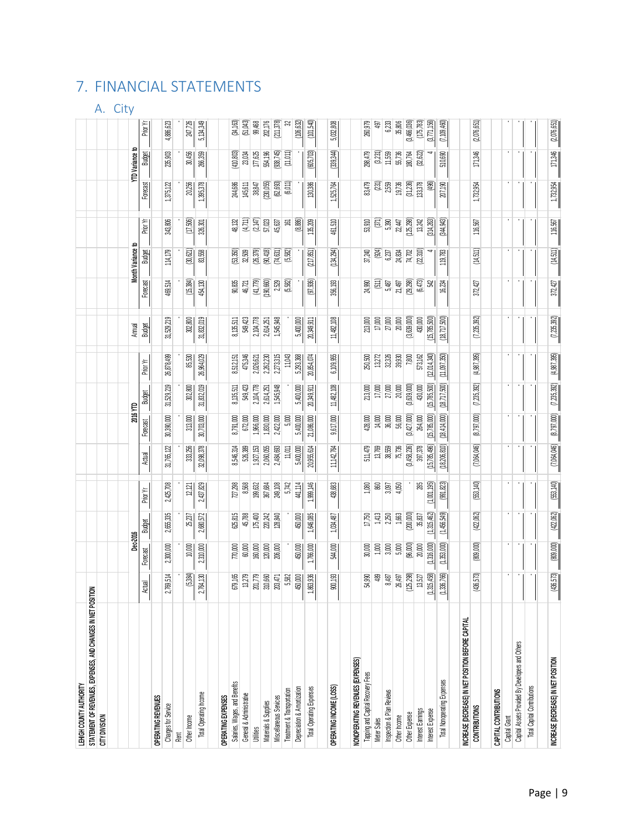# 7. FINANCIAL STATEMENTS

## A. City

| LEHIGH COUNTY AUTHORITY                                     |                        |             |             |             |                |                |                |                |                |           |                   |            |           |                    |               |
|-------------------------------------------------------------|------------------------|-------------|-------------|-------------|----------------|----------------|----------------|----------------|----------------|-----------|-------------------|------------|-----------|--------------------|---------------|
| STATEMENT OF REVENUES, EXPENSES, AND CHANGES IN NET POSITIV | 叾                      |             |             |             |                |                |                |                |                |           |                   |            |           |                    |               |
| <b>CITY DIVISION</b>                                        |                        |             |             |             |                |                |                |                |                |           |                   |            |           |                    |               |
|                                                             |                        |             |             |             |                |                |                |                |                |           |                   |            |           |                    |               |
|                                                             |                        | Dec-2016    |             |             |                | 2016 YTD       |                |                | Annual         |           | Month Variance to |            |           | <b>TD</b> Variance |               |
|                                                             | ctual<br>◅             | Forecast    | Budget      | Prior Yr    | Actual         | Forecast       | Budget         | Prior Yr       | Budget         | Forecast  | <b>Budget</b>     | Prior Yr   | Forecast  | Budget             | Prior Yr      |
| OPERATING REVENUES                                          |                        |             |             |             |                |                |                |                |                |           |                   |            |           |                    |               |
| Charges for Service                                         | 769,514                | 2,300,000   | 2,655,335   | 2,425,708   | 31,765,122     | 30,390,000     | 31,529,219     | 26,878,499     | 31,529,219     | 469,514   | 114,179           | 343,806    | 1,375,122 | 235,903            | 4,886,623     |
| Rent                                                        |                        |             |             |             |                |                |                |                |                |           |                   |            |           |                    |               |
| Other Income                                                | (5,384)                | 10,000      | 25,237      | 12,121      | 333,256        | 313,000        | 302,800        | 85,530         | 302,800        | (15, 384) | (30,621)          | (17,506)   | 20,256    | 30,456             | 247,726       |
| Total Operating Income                                      | 764,130<br>$\sim$      | 2,310,000   | 2,680,572   | 2,437,829   | 32,098,378     | 30,703,000     | 31,832,019     | 26,964,029     | 31,832,019     | 454,130   | 83,558            | 326,301    | 1,395,378 | 266,359            | 5,134,349     |
| OPERATING EXPENSES                                          |                        |             |             |             |                |                |                |                |                |           |                   |            |           |                    |               |
| Salaries, Wages, and Benefits                               | 679,165                | 770,000     | 625,815     | 727,298     | 8,546,314      | 8,791,000      | 8,135,511      | 8,512,151      | 8,135,511      | 90,835    | (53,350)          | 48,132     | 244,686   | (410, 803)         | (34, 163)     |
| General & Administrative                                    | 13,279                 | 60,000      | 45,788      | 8,568       | 526,389        | 672,000        | 549,423        | 475,346        | 549,423        | 46,721    | 32,509            | (4.711)    | 145,611   | 23,034             | (51,043)      |
| <b>Utilities</b>                                            | 201,779                | 160,000     | 175,400     | 199,632     | 1,927,153      | 1,966,000      | 2,104,778      | 2,026,621      | 2,104,778      | (41, 779) | (26,379)          | (2, 147)   | 38,847    | 177,625            | 99,468        |
| Materials & Supplies                                        | 310,660                | 120,000     | 220,242     | 367,684     | 2,060,055      | 1,830,000      | 2,614,251      | 2,262,230      | 2,614,251      | (190,660) | (90, 418)         | $57,\!023$ | 230,055   | 554,196            | 202,176       |
| Miscellaneous Services                                      | 203,471                | 206,000     | 128,840     | 249,108     | 2,484,693      | 2,422,000      | 1,545,948      | 2,273,315      | 1,545,948      | 2,529     | (74,631)          | 45,637     | (62, 693) | (938, 745)         | (211,378)     |
| Treatment & Transportation                                  | 5,582                  |             |             | 5.742       | 11,011         | 5.000          |                | 11,043         |                | (5,582)   | (5,582)           | ē          | (6,011)   | (11,011)           | S,            |
| Depreciation & Amortization                                 | 450,000                | 450,000     | 450,000     | 441,114     | 5,400,000      | 5,400,000      | 5,400,000      | 5,293,368      | 5,400,000      |           |                   | (8, 886)   |           |                    | (106, 632)    |
| Total Operating Expenses                                    | 863,936                | 1,766,000   | 1,646,085   | 1,999,146   | 20,955,614     | 21,086,000     | 20,349,911     | 20,854,074     | 20,349,911     | (97,936)  | (217, 851)        | 135,209    | 130,386   | (605, 703)         | (101,540)     |
|                                                             |                        |             |             |             |                |                |                |                |                |           |                   |            |           |                    |               |
| OPERATING INCOME (LOSS)                                     | 900,193                | 544,000     | 1,034,487   | 438,683     | 11, 142, 764   | 9,617,000      | 11,482,108     | 6,109,955      | 11,482,108     | 356,193   | (134.294)         | 461,510    | 1,525,764 | (339,344)          | 5,032,808     |
| NONOPERATING REVENUES (EXPENSES)                            |                        |             |             |             |                |                |                |                |                |           |                   |            |           |                    |               |
| Tapping and Capital Recovery Fees                           | 54,990                 | 30,000      | 17,750      | 1,080       | 511,479        | 428,000        | 213,000        | 250,500        | 213,000        | 24,990    | 37,240            | 53,910     | 83,479    | 298,479            | 260,979       |
| Meter Sales                                                 | $489$                  | 1,000       | 1,413       | 860         | 13,769         | 14,000         | 17,000         | 13,272         | 17,000         | 51        | (924)             | (37)       | (231)     | (3,231)            | 497           |
| Inspection & Plan Reviews                                   | 8,487                  | $3,000$     | 2,250       | 3,097       | 38,559         | 36,000         | 27,000         | 32,326         | $27,\!000$     | 5,487     | 6,237             | 5,390      | 2,559     | 11,559             | 6,233         |
| Other Income                                                | 26,497                 | $5,000$     | 1,663       | 4,050       | 75,736         | 56,000         | 20,000         | 39,930         | 20,000         | 21,497    | 24,834            | 22,447     | 19,736    | 55,736             | 35,806        |
| Other Expense                                               | (25,298)               | (96,000)    | (200,000)   |             | (3,458,236)    | (3,427,000)    | (3,639,000)    | 7,800          | (3,639,000)    | (29, 298) | 74,702            | (125, 298) | (31, 236) | 180,764            | (3,466,036)   |
| Interest Earnings                                           | 13,527                 | 20,000      | 35,837      | 285         | 397,378        | 264,000        | 430,000        | 573,162        | 430,000        | (6,473)   | (22310)           | 13,242     | 133,378   | (32,622)           | (175, 783)    |
| Interest Expense                                            | 315,458)<br>$\epsilon$ | (1,316,000) | (1,315,462) | (1,001,195) | (15, 785, 496) | (15,785,000)   | (15, 785, 500) | (12, 014, 340) | (15, 785, 500) | 윥         |                   | (314, 263) | (496)     |                    | (3,771,156)   |
| Total Nonoperating Expenses                                 | 336,766)<br>틱          | (1,353,000) | (1,456,549) | (991, 823)  | (18, 206, 810) | (18, 414, 000) | (18,717,500)   | (11,097,350)   | (18, 717, 500) | 16,234    | 119,783           | (344,943)  | 207,190   | 510,690            | (7, 109, 460) |
|                                                             |                        |             |             |             |                |                |                |                |                |           |                   |            |           |                    |               |
| INCREASE (DECREASE) IN NET POSITION BEFORE CAPITAL          |                        |             |             |             |                |                |                |                |                |           |                   |            |           |                    |               |
| <b>CONTRIBUTIONS</b>                                        | (436,573)              | (809,000)   | (422,062)   | (553, 140)  | (7.064,046)    | (8,797,000)    | (7, 235, 392)  | (4, 987, 395)  | (7, 235, 392)  | 372,427   | (14,511)          | 116,567    | 1,732,954 | 171,346            | (2,076,651)   |
| CAPITAL CONTRIBUTIONS                                       |                        |             |             |             |                |                |                |                |                |           |                   |            |           |                    |               |
| Capital Grant                                               |                        |             |             |             |                |                |                |                |                |           |                   |            |           |                    |               |
| Capital Assets Provided By Developers and Others            |                        |             |             |             |                |                |                |                |                |           |                   |            |           |                    |               |
| <b>Total Capital Contributions</b>                          |                        |             |             |             |                |                |                |                |                |           |                   |            |           |                    |               |
|                                                             |                        |             |             |             |                |                |                |                |                |           |                   |            |           |                    |               |
| INCREASE (DECREASE) IN NET POSITION                         | (436,573)              | [809,000]   | (422,062)   | (553, 140)  | (7,064,046)    | (8,797,000)    | (7, 235, 392)  | (4,987,395)    | (7, 235, 392)  | 372,427   | (14,511)          | 116,567    | 1,732,954 | 171,346            | (2,076,651)   |
|                                                             |                        |             |             |             |                |                |                |                |                |           |                   |            |           |                    |               |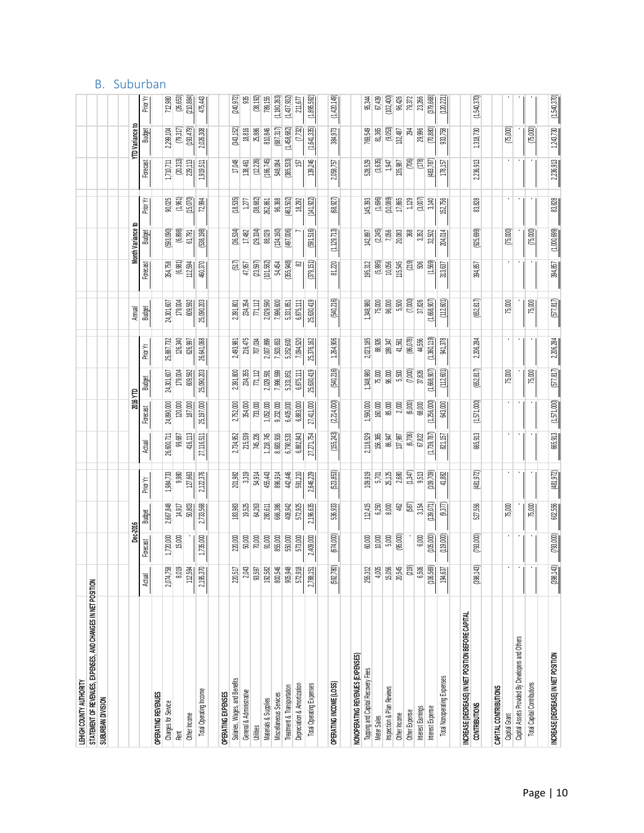| <b>B.</b> Suburban |
|--------------------|
|                    |

| STATEMENT OF REVENUES, EXPENSES, AND CHANGES IN NET POSITION<br>NONOP ERATING REVENUES (EXPENSES)<br>Tapping and Capital Recovery Fees<br>Salaries, Wages, and Benefits<br>OPERATING INCOME (LOSS)<br>Depreciation & Amortization<br>Total Operating Expenses<br>Treatment & Transportation<br>Inspection & Plan Reviews<br><b>Total Operating Income</b><br>General & Administrative<br>OPERATING EXPENSES<br>Miscellaneous Services<br>OPERATING REVENUES<br>SUBURBAN DIVISION<br>Materials & Supplies<br>Charges for Service | 8,019<br>2,043<br>93,597<br>192,582<br>800,546<br>905,948<br>112,594<br>572,918<br>(592, 780)<br>2,074,758<br>2,195,370<br>220,517<br>2,788,151<br>Actual | Dec-2016<br>15,000<br>70,000<br>220,000<br>50,000<br>91,000<br>855,000<br>550,000<br>573,000<br>1,720,000<br>1,735,000<br>2,409,000<br>Forecast | 14,917<br>50,803<br>2,733,568<br>19,525<br>64,263<br>280,611<br>666,386<br>408,942<br>572,925<br>2,667,848<br>183,983<br>Budget | 3.319<br>1,984,733<br>9,980<br>127,663<br>2,122,376<br>201,982<br>Prior Yr | 26,600,711<br>416,113<br>99,687<br>27,116,511<br>Actual | 2016 YTD<br>Forecast | <b>Budget</b>    | Prior Yr    | Annual           |            | Month Variance to | Prior Yr             |            | TD Variance to |                      |
|---------------------------------------------------------------------------------------------------------------------------------------------------------------------------------------------------------------------------------------------------------------------------------------------------------------------------------------------------------------------------------------------------------------------------------------------------------------------------------------------------------------------------------|-----------------------------------------------------------------------------------------------------------------------------------------------------------|-------------------------------------------------------------------------------------------------------------------------------------------------|---------------------------------------------------------------------------------------------------------------------------------|----------------------------------------------------------------------------|---------------------------------------------------------|----------------------|------------------|-------------|------------------|------------|-------------------|----------------------|------------|----------------|----------------------|
|                                                                                                                                                                                                                                                                                                                                                                                                                                                                                                                                 |                                                                                                                                                           |                                                                                                                                                 |                                                                                                                                 |                                                                            |                                                         |                      |                  |             |                  |            |                   |                      |            |                |                      |
|                                                                                                                                                                                                                                                                                                                                                                                                                                                                                                                                 |                                                                                                                                                           |                                                                                                                                                 |                                                                                                                                 |                                                                            |                                                         |                      |                  |             |                  |            |                   |                      |            |                |                      |
|                                                                                                                                                                                                                                                                                                                                                                                                                                                                                                                                 |                                                                                                                                                           |                                                                                                                                                 |                                                                                                                                 |                                                                            |                                                         |                      |                  |             |                  |            |                   |                      |            |                |                      |
|                                                                                                                                                                                                                                                                                                                                                                                                                                                                                                                                 |                                                                                                                                                           |                                                                                                                                                 |                                                                                                                                 |                                                                            |                                                         |                      |                  |             |                  |            |                   |                      |            |                |                      |
|                                                                                                                                                                                                                                                                                                                                                                                                                                                                                                                                 |                                                                                                                                                           |                                                                                                                                                 |                                                                                                                                 |                                                                            |                                                         |                      |                  |             | <b>Budget</b>    | Forecast   | Budget            |                      | Forecast   | Budget         | Prior Yr             |
|                                                                                                                                                                                                                                                                                                                                                                                                                                                                                                                                 |                                                                                                                                                           |                                                                                                                                                 |                                                                                                                                 |                                                                            |                                                         |                      |                  |             |                  |            |                   |                      |            |                |                      |
|                                                                                                                                                                                                                                                                                                                                                                                                                                                                                                                                 |                                                                                                                                                           |                                                                                                                                                 |                                                                                                                                 |                                                                            |                                                         | 24,890,000           | 24,301,607       | 25,887,732  | 24,301,607       | 354,758    | [593,090]         | 90,025               | 1,710,711  | 2,299,104      | 712,980              |
|                                                                                                                                                                                                                                                                                                                                                                                                                                                                                                                                 |                                                                                                                                                           |                                                                                                                                                 |                                                                                                                                 |                                                                            |                                                         | 120,000              | 179,004          | 126,340     | 179,004          | (6, 981)   | (6, 898)          | (1, 961)             | (20, 313)  | (79, 317)      | (26, 653)            |
|                                                                                                                                                                                                                                                                                                                                                                                                                                                                                                                                 |                                                                                                                                                           |                                                                                                                                                 |                                                                                                                                 |                                                                            |                                                         | 187,000              | 609,592          | 626,997     | 609,592          | 112,594    | 61,791            | (15,070)             | 229,113    | (193, 479)     | (210, 884)           |
|                                                                                                                                                                                                                                                                                                                                                                                                                                                                                                                                 |                                                                                                                                                           |                                                                                                                                                 |                                                                                                                                 |                                                                            |                                                         | 25,197,000           | 25,090,203       | 26,641,068  | 25,090,203       | 460,370    | (538, 198)        | 72,994               | 1,919,511  | 2,026,308      | 475,443              |
|                                                                                                                                                                                                                                                                                                                                                                                                                                                                                                                                 |                                                                                                                                                           |                                                                                                                                                 |                                                                                                                                 |                                                                            |                                                         |                      |                  |             |                  |            |                   |                      |            |                |                      |
|                                                                                                                                                                                                                                                                                                                                                                                                                                                                                                                                 |                                                                                                                                                           |                                                                                                                                                 |                                                                                                                                 |                                                                            | 2,734,952                                               | 2,752,000            | 2,391,800        | 2,493,981   | 2,391,801        | 517)       | (36, 534)         | (18,535)             | 17,048     | (343, 152)     | (240, 972)           |
|                                                                                                                                                                                                                                                                                                                                                                                                                                                                                                                                 |                                                                                                                                                           |                                                                                                                                                 |                                                                                                                                 |                                                                            | 215,539                                                 | 354.000              | 234,355          | 216,475     | 234,354          | 47,957     | 17,482            | 127                  | 138,461    | 18,816         | gg                   |
|                                                                                                                                                                                                                                                                                                                                                                                                                                                                                                                                 |                                                                                                                                                           |                                                                                                                                                 |                                                                                                                                 | 54,914                                                                     | 745,226                                                 | 733,000              | 71,112           | 707,034     | 77,112           | (23,597)   | (29, 334)         | (38, 682)            | (12, 226)  | 25,886         | (38, 192)            |
|                                                                                                                                                                                                                                                                                                                                                                                                                                                                                                                                 |                                                                                                                                                           |                                                                                                                                                 |                                                                                                                                 | 455,443                                                                    | 1,218,745                                               | 1,052,000            | 2,029,591        | 2,007,899   | 2,029,590        | (01,582)   | 88,029            | 262,861              | (166, 745) | 810,846        | 789,155              |
|                                                                                                                                                                                                                                                                                                                                                                                                                                                                                                                                 |                                                                                                                                                           |                                                                                                                                                 |                                                                                                                                 | 896,914                                                                    | 8,683,916                                               | 9,232,000            | 7,996,599        | 7,503,653   | 7,996,600        | 54,454     | (134, 160)        | 96,368               | 548,084    | (687, 317)     | (1, 180, 263)        |
|                                                                                                                                                                                                                                                                                                                                                                                                                                                                                                                                 |                                                                                                                                                           |                                                                                                                                                 |                                                                                                                                 | 442,446                                                                    | 6.790.533                                               | 6.405,000            | 5.331.851        | 5,352,600   | 5,331,851        | (355,948)  | (497,006)         | (463, 502)           | 385,533    | (1,458,682)    | (1,437,932)          |
|                                                                                                                                                                                                                                                                                                                                                                                                                                                                                                                                 |                                                                                                                                                           |                                                                                                                                                 |                                                                                                                                 | 591,210                                                                    | 6,882,843                                               | 6,883,000            | 6,875,111        | 7,094,520   | 6,875,111        | 82         |                   | 18,292               | ত্রি       | (7, 732)       | 211,677              |
|                                                                                                                                                                                                                                                                                                                                                                                                                                                                                                                                 |                                                                                                                                                           |                                                                                                                                                 | 2,196,635                                                                                                                       | 2,646,229                                                                  | 27,271,754                                              | 27,411,000           | 25,630,419       | 25,376,162  | 25,630,419       | (379, 151) | [591, 516]        | (141, 922)           | 139,246    | (1,641,335)    | (1,895,592)          |
|                                                                                                                                                                                                                                                                                                                                                                                                                                                                                                                                 |                                                                                                                                                           |                                                                                                                                                 |                                                                                                                                 |                                                                            |                                                         |                      |                  |             |                  |            |                   |                      |            |                |                      |
|                                                                                                                                                                                                                                                                                                                                                                                                                                                                                                                                 |                                                                                                                                                           | 674,000                                                                                                                                         | 536,933                                                                                                                         | (523,853)                                                                  | (155,243)                                               | (2,214,000)          | (540,216)        | 1,264,906   | (540,216)        | 81,220     | (1, 129, 713)     | (68, 927)            | 2,058,757  | 384,973        | (1,420,149)          |
|                                                                                                                                                                                                                                                                                                                                                                                                                                                                                                                                 |                                                                                                                                                           |                                                                                                                                                 |                                                                                                                                 |                                                                            |                                                         |                      |                  |             |                  |            |                   |                      |            |                |                      |
|                                                                                                                                                                                                                                                                                                                                                                                                                                                                                                                                 | 255,312                                                                                                                                                   | 60,000                                                                                                                                          | 112,415                                                                                                                         | 109,919                                                                    | 2,118,529                                               | 1,590,000            | 1,348,980        | 2,023,185   | 1,348,980        | 195,312    | 142,897           | 145,393              | 528,529    | 769,549        | 95,344               |
|                                                                                                                                                                                                                                                                                                                                                                                                                                                                                                                                 | 4,005                                                                                                                                                     | 10,000                                                                                                                                          | 6,250                                                                                                                           | 5,701                                                                      | 156,365                                                 | 160,000              | 75,000           | 88,926      | 75,000           | (5,995)    | (2, 245)          | (1,696)              | (3,635)    | 81,365         | 67,439               |
|                                                                                                                                                                                                                                                                                                                                                                                                                                                                                                                                 | 15,056                                                                                                                                                    | 5,000                                                                                                                                           | 8,000                                                                                                                           | 25,125                                                                     | 86,947                                                  | 85,000               | 96,000           | 189,347     | 96,000           | 10,056     | 7,056             | (10,069)             | 1,947      | (9,053)        | (102, 400)           |
|                                                                                                                                                                                                                                                                                                                                                                                                                                                                                                                                 | 20,545                                                                                                                                                    | (95,000)                                                                                                                                        | 462                                                                                                                             | 2,680                                                                      | 137,987                                                 | 2,000                | 5,500            | 41,561      | 5,500            | 115,545    | 20,083            | 17,865               | 135,987    | 32,487         | 96,426               |
|                                                                                                                                                                                                                                                                                                                                                                                                                                                                                                                                 | (219)                                                                                                                                                     |                                                                                                                                                 | (587)                                                                                                                           | (1,347)                                                                    | (6,706)                                                 | (6,000)              | (7,000)          | (86,078)    | (7,000)          | (219)      | 38                | 1,129                | (706)      | ž\$            | 79,372               |
| Interest Eamings                                                                                                                                                                                                                                                                                                                                                                                                                                                                                                                | 6,506                                                                                                                                                     | 6,000                                                                                                                                           | 3,154                                                                                                                           | 9,513                                                                      | 67,822                                                  | 68,000               | 37,826           | 44,556      | 37,826           | SOS        | 3,352             | (3,007)              | (178)      | 29,996         | 23,266               |
| Interest Expense                                                                                                                                                                                                                                                                                                                                                                                                                                                                                                                | (106,569)                                                                                                                                                 | (105,000)                                                                                                                                       | (139,071)                                                                                                                       | (109, 709)                                                                 | (1, 739, 787)                                           | (1,256,000)          | (1,668,907)      | (1,360,119) | (1,668,907)      | (1,569)    | 32,502            | 3,140                | (483,787)  | (70, 880)      | (379, 668)           |
| Total Nonoperating Expenses                                                                                                                                                                                                                                                                                                                                                                                                                                                                                                     | 194,637                                                                                                                                                   | (119,000)                                                                                                                                       | (9,377)                                                                                                                         | 41,882                                                                     | 821,157                                                 | 643,000              | (112, 601)       | 941,378     | (112,601)        | 313,637    | 204,014           | 152,756              | $178,157$  | 933,758        | (120, 221)           |
| INCREASE (DECREASE) IN NET POSITION BEFORE CAPITAL                                                                                                                                                                                                                                                                                                                                                                                                                                                                              |                                                                                                                                                           |                                                                                                                                                 |                                                                                                                                 |                                                                            |                                                         |                      |                  |             |                  |            |                   |                      |            |                |                      |
| <b>CONTRIBUTIONS</b>                                                                                                                                                                                                                                                                                                                                                                                                                                                                                                            | (398, 143)                                                                                                                                                |                                                                                                                                                 | 527,556                                                                                                                         | (481, 972)                                                                 | 665,913                                                 |                      | (652, 817)       | 2,206,284   | (652, 817)       | 394,857    | (925, 699)        | 83,828               | 2,236,913  | 1,318,730      | (1,540,370)          |
|                                                                                                                                                                                                                                                                                                                                                                                                                                                                                                                                 |                                                                                                                                                           |                                                                                                                                                 |                                                                                                                                 |                                                                            |                                                         |                      |                  |             |                  |            |                   |                      |            |                |                      |
|                                                                                                                                                                                                                                                                                                                                                                                                                                                                                                                                 |                                                                                                                                                           |                                                                                                                                                 |                                                                                                                                 |                                                                            |                                                         |                      |                  |             |                  |            |                   |                      |            |                |                      |
|                                                                                                                                                                                                                                                                                                                                                                                                                                                                                                                                 |                                                                                                                                                           |                                                                                                                                                 |                                                                                                                                 |                                                                            |                                                         |                      |                  |             |                  |            |                   |                      |            |                |                      |
|                                                                                                                                                                                                                                                                                                                                                                                                                                                                                                                                 |                                                                                                                                                           |                                                                                                                                                 |                                                                                                                                 |                                                                            |                                                         |                      |                  |             |                  |            |                   |                      |            |                |                      |
|                                                                                                                                                                                                                                                                                                                                                                                                                                                                                                                                 |                                                                                                                                                           |                                                                                                                                                 |                                                                                                                                 |                                                                            |                                                         |                      |                  |             |                  |            |                   |                      |            |                |                      |
| (398, 143)<br>INCREASE (DECREASE) IN NET POSITION                                                                                                                                                                                                                                                                                                                                                                                                                                                                               |                                                                                                                                                           | (793,000)                                                                                                                                       | 602,556                                                                                                                         | (481, 972)                                                                 | 665,913                                                 | (1,571,000)          | [577, 817]       | 2,206,284   | (577, 817)       | 394,857    | (1,000,699)       | 83,828               | 2,236,913  | 1,243,730      | (1,540,370)          |
| Capital Assets Provided By Developers and Others<br><b>Total Capital Contributions</b><br>CAPITAL CONTRIBUTIONS                                                                                                                                                                                                                                                                                                                                                                                                                 |                                                                                                                                                           | (793,000)                                                                                                                                       | 75,000<br>75,000                                                                                                                |                                                                            |                                                         | (1,571,000)          | 75,000<br>75,000 |             | 75,000<br>75,000 |            |                   | (75,000)<br>(75,000) |            |                | (75,000)<br>(75,000) |